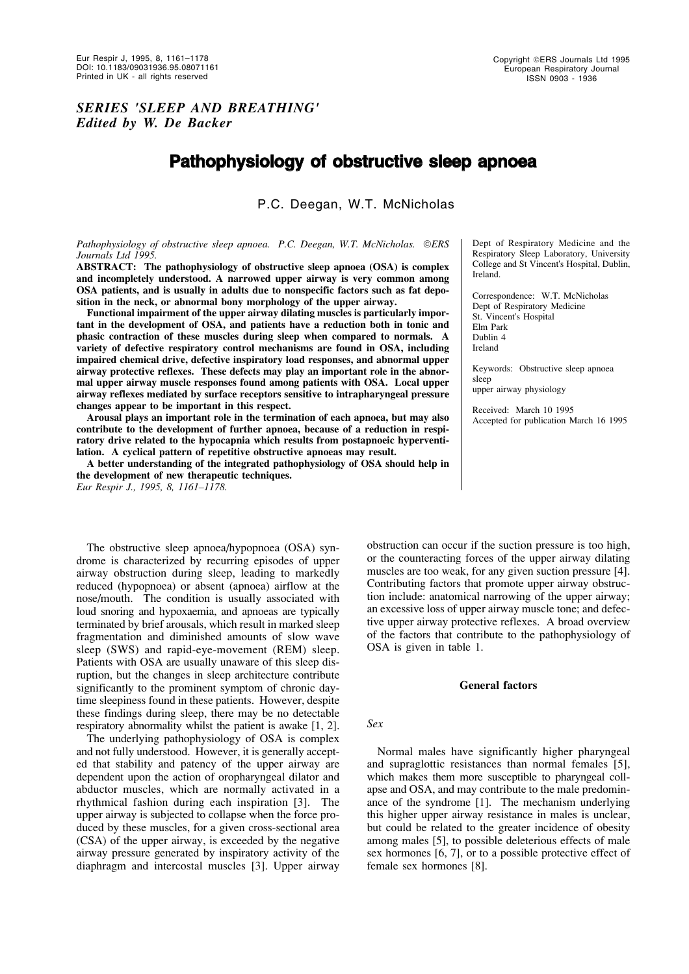Copyright ©ERS Journals Ltd 1995 European Respiratory Journal ISSN 0903 - 1936

## *SERIES 'SLEEP AND BREATHING' Edited by W. De Backer*

# **Pathophysiology of obstructive sleep apnoea**

P.C. Deegan, W.T. McNicholas

*Pathophysiology of obstructive sleep apnoea. P.C. Deegan, W.T. McNicholas. ERS Journals Ltd 1995.*

**ABSTRACT: The pathophysiology of obstructive sleep apnoea (OSA) is complex and incompletely understood. A narrowed upper airway is very common among OSA patients, and is usually in adults due to nonspecific factors such as fat deposition in the neck, or abnormal bony morphology of the upper airway.**

**Functional impairment of the upper airway dilating muscles is particularly important in the development of OSA, and patients have a reduction both in tonic and phasic contraction of these muscles during sleep when compared to normals. A variety of defective respiratory control mechanisms are found in OSA, including impaired chemical drive, defective inspiratory load responses, and abnormal upper airway protective reflexes. These defects may play an important role in the abnormal upper airway muscle responses found among patients with OSA. Local upper airway reflexes mediated by surface receptors sensitive to intrapharyngeal pressure changes appear to be important in this respect.**

**Arousal plays an important role in the termination of each apnoea, but may also contribute to the development of further apnoea, because of a reduction in respiratory drive related to the hypocapnia which results from postapnoeic hyperventilation. A cyclical pattern of repetitive obstructive apnoeas may result.**

**A better understanding of the integrated pathophysiology of OSA should help in the development of new therapeutic techniques.** *Eur Respir J., 1995, 8, 1161–1178.*

The obstructive sleep apnoea/hypopnoea (OSA) syndrome is characterized by recurring episodes of upper airway obstruction during sleep, leading to markedly reduced (hypopnoea) or absent (apnoea) airflow at the nose/mouth. The condition is usually associated with loud snoring and hypoxaemia, and apnoeas are typically terminated by brief arousals, which result in marked sleep fragmentation and diminished amounts of slow wave sleep (SWS) and rapid-eye-movement (REM) sleep. Patients with OSA are usually unaware of this sleep disruption, but the changes in sleep architecture contribute significantly to the prominent symptom of chronic daytime sleepiness found in these patients. However, despite these findings during sleep, there may be no detectable respiratory abnormality whilst the patient is awake [1, 2].

The underlying pathophysiology of OSA is complex and not fully understood. However, it is generally accepted that stability and patency of the upper airway are dependent upon the action of oropharyngeal dilator and abductor muscles, which are normally activated in a rhythmical fashion during each inspiration [3]. The upper airway is subjected to collapse when the force produced by these muscles, for a given cross-sectional area (CSA) of the upper airway, is exceeded by the negative airway pressure generated by inspiratory activity of the diaphragm and intercostal muscles [3]. Upper airway Dept of Respiratory Medicine and the Respiratory Sleep Laboratory, University College and St Vincent's Hospital, Dublin, Ireland.

Correspondence: W.T. McNicholas Dept of Respiratory Medicine St. Vincent's Hospital Elm Park Dublin 4 Ireland

Keywords: Obstructive sleep apnoea sleep upper airway physiology

Received: March 10 1995 Accepted for publication March 16 1995

obstruction can occur if the suction pressure is too high, or the counteracting forces of the upper airway dilating muscles are too weak, for any given suction pressure [4]. Contributing factors that promote upper airway obstruction include: anatomical narrowing of the upper airway; an excessive loss of upper airway muscle tone; and defective upper airway protective reflexes. A broad overview of the factors that contribute to the pathophysiology of OSA is given in table 1.

## **General factors**

#### *Sex*

Normal males have significantly higher pharyngeal and supraglottic resistances than normal females [5], which makes them more susceptible to pharyngeal collapse and OSA, and may contribute to the male predominance of the syndrome [1]. The mechanism underlying this higher upper airway resistance in males is unclear, but could be related to the greater incidence of obesity among males [5], to possible deleterious effects of male sex hormones [6, 7], or to a possible protective effect of female sex hormones [8].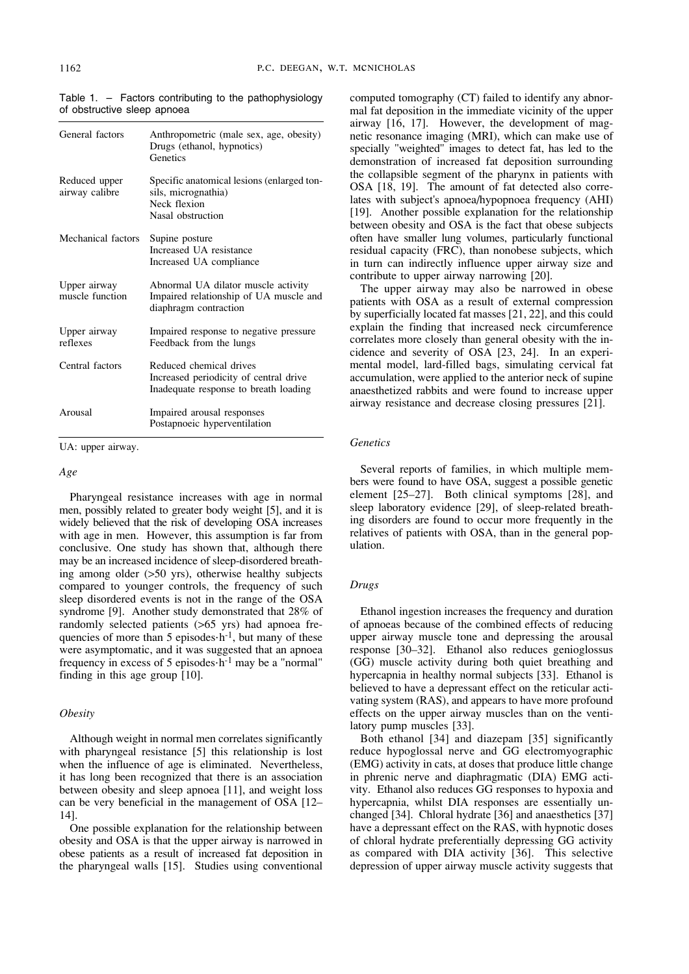| General factors                 | Anthropometric (male sex, age, obesity)<br>Drugs (ethanol, hypnotics)<br>Genetics                          |
|---------------------------------|------------------------------------------------------------------------------------------------------------|
| Reduced upper<br>airway calibre | Specific anatomical lesions (enlarged ton-<br>sils, micrognathia)<br>Neck flexion<br>Nasal obstruction     |
| Mechanical factors              | Supine posture<br>Increased UA resistance<br>Increased UA compliance                                       |
| Upper airway<br>muscle function | Abnormal UA dilator muscle activity<br>Impaired relationship of UA muscle and<br>diaphragm contraction     |
| Upper airway<br>reflexes        | Impaired response to negative pressure<br>Feedback from the lungs                                          |
| Central factors                 | Reduced chemical drives<br>Increased periodicity of central drive<br>Inadequate response to breath loading |
| Arousal                         | Impaired arousal responses<br>Postapnoeic hyperventilation                                                 |

Table 1. – Factors contributing to the pathophysiology of obstructive sleep apnoea

UA: upper airway.

#### *Age*

Pharyngeal resistance increases with age in normal men, possibly related to greater body weight [5], and it is widely believed that the risk of developing OSA increases with age in men. However, this assumption is far from conclusive. One study has shown that, although there may be an increased incidence of sleep-disordered breathing among older (>50 yrs), otherwise healthy subjects compared to younger controls, the frequency of such sleep disordered events is not in the range of the OSA syndrome [9]. Another study demonstrated that 28% of randomly selected patients (>65 yrs) had apnoea frequencies of more than 5 episodes $\cdot$ h<sup>-1</sup>, but many of these were asymptomatic, and it was suggested that an apnoea frequency in excess of 5 episodes·h-1 may be a "normal" finding in this age group [10].

## *Obesity*

Although weight in normal men correlates significantly with pharyngeal resistance [5] this relationship is lost when the influence of age is eliminated. Nevertheless, it has long been recognized that there is an association between obesity and sleep apnoea [11], and weight loss can be very beneficial in the management of OSA [12– 14].

One possible explanation for the relationship between obesity and OSA is that the upper airway is narrowed in obese patients as a result of increased fat deposition in the pharyngeal walls [15]. Studies using conventional computed tomography (CT) failed to identify any abnormal fat deposition in the immediate vicinity of the upper airway [16, 17]. However, the development of magnetic resonance imaging (MRI), which can make use of specially "weighted" images to detect fat, has led to the demonstration of increased fat deposition surrounding the collapsible segment of the pharynx in patients with OSA [18, 19]. The amount of fat detected also correlates with subject's apnoea/hypopnoea frequency (AHI) [19]. Another possible explanation for the relationship between obesity and OSA is the fact that obese subjects often have smaller lung volumes, particularly functional residual capacity (FRC), than nonobese subjects, which in turn can indirectly influence upper airway size and contribute to upper airway narrowing [20].

The upper airway may also be narrowed in obese patients with OSA as a result of external compression by superficially located fat masses [21, 22], and this could explain the finding that increased neck circumference correlates more closely than general obesity with the incidence and severity of OSA [23, 24]. In an experimental model, lard-filled bags, simulating cervical fat accumulation, were applied to the anterior neck of supine anaesthetized rabbits and were found to increase upper airway resistance and decrease closing pressures [21].

#### *Genetics*

Several reports of families, in which multiple members were found to have OSA, suggest a possible genetic element [25–27]. Both clinical symptoms [28], and sleep laboratory evidence [29], of sleep-related breathing disorders are found to occur more frequently in the relatives of patients with OSA, than in the general population.

#### *Drugs*

Ethanol ingestion increases the frequency and duration of apnoeas because of the combined effects of reducing upper airway muscle tone and depressing the arousal response [30–32]. Ethanol also reduces genioglossus (GG) muscle activity during both quiet breathing and hypercapnia in healthy normal subjects [33]. Ethanol is believed to have a depressant effect on the reticular activating system (RAS), and appears to have more profound effects on the upper airway muscles than on the ventilatory pump muscles [33].

Both ethanol [34] and diazepam [35] significantly reduce hypoglossal nerve and GG electromyographic (EMG) activity in cats, at doses that produce little change in phrenic nerve and diaphragmatic (DIA) EMG activity. Ethanol also reduces GG responses to hypoxia and hypercapnia, whilst DIA responses are essentially unchanged [34]. Chloral hydrate [36] and anaesthetics [37] have a depressant effect on the RAS, with hypnotic doses of chloral hydrate preferentially depressing GG activity as compared with DIA activity [36]. This selective depression of upper airway muscle activity suggests that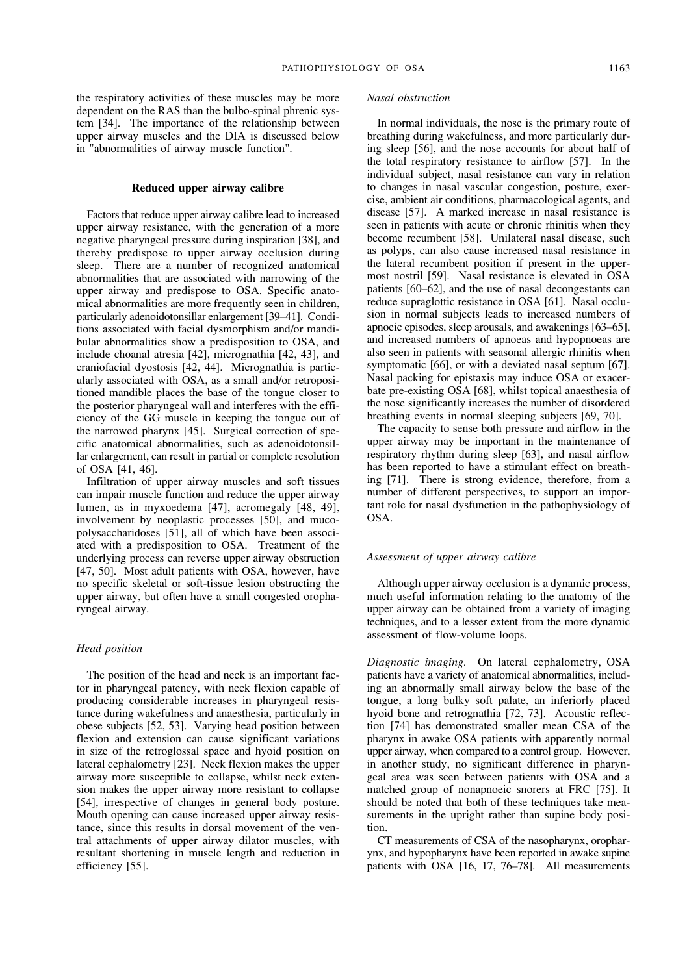the respiratory activities of these muscles may be more dependent on the RAS than the bulbo-spinal phrenic system [34]. The importance of the relationship between upper airway muscles and the DIA is discussed below in "abnormalities of airway muscle function".

## **Reduced upper airway calibre**

Factors that reduce upper airway calibre lead to increased upper airway resistance, with the generation of a more negative pharyngeal pressure during inspiration [38], and thereby predispose to upper airway occlusion during sleep. There are a number of recognized anatomical abnormalities that are associated with narrowing of the upper airway and predispose to OSA. Specific anatomical abnormalities are more frequently seen in children, particularly adenoidotonsillar enlargement [39–41]. Conditions associated with facial dysmorphism and/or mandibular abnormalities show a predisposition to OSA, and include choanal atresia [42], micrognathia [42, 43], and craniofacial dyostosis [42, 44]. Micrognathia is particularly associated with OSA, as a small and/or retropositioned mandible places the base of the tongue closer to the posterior pharyngeal wall and interferes with the efficiency of the GG muscle in keeping the tongue out of the narrowed pharynx [45]. Surgical correction of specific anatomical abnormalities, such as adenoidotonsillar enlargement, can result in partial or complete resolution of OSA [41, 46].

Infiltration of upper airway muscles and soft tissues can impair muscle function and reduce the upper airway lumen, as in myxoedema [47], acromegaly [48, 49], involvement by neoplastic processes [50], and mucopolysaccharidoses [51], all of which have been associated with a predisposition to OSA. Treatment of the underlying process can reverse upper airway obstruction [47, 50]. Most adult patients with OSA, however, have no specific skeletal or soft-tissue lesion obstructing the upper airway, but often have a small congested oropharyngeal airway.

## *Head position*

The position of the head and neck is an important factor in pharyngeal patency, with neck flexion capable of producing considerable increases in pharyngeal resistance during wakefulness and anaesthesia, particularly in obese subjects [52, 53]. Varying head position between flexion and extension can cause significant variations in size of the retroglossal space and hyoid position on lateral cephalometry [23]. Neck flexion makes the upper airway more susceptible to collapse, whilst neck extension makes the upper airway more resistant to collapse [54], irrespective of changes in general body posture. Mouth opening can cause increased upper airway resistance, since this results in dorsal movement of the ventral attachments of upper airway dilator muscles, with resultant shortening in muscle length and reduction in efficiency [55].

## *Nasal obstruction*

In normal individuals, the nose is the primary route of breathing during wakefulness, and more particularly during sleep [56], and the nose accounts for about half of the total respiratory resistance to airflow [57]. In the individual subject, nasal resistance can vary in relation to changes in nasal vascular congestion, posture, exercise, ambient air conditions, pharmacological agents, and disease [57]. A marked increase in nasal resistance is seen in patients with acute or chronic rhinitis when they become recumbent [58]. Unilateral nasal disease, such as polyps, can also cause increased nasal resistance in the lateral recumbent position if present in the uppermost nostril [59]. Nasal resistance is elevated in OSA patients [60–62], and the use of nasal decongestants can reduce supraglottic resistance in OSA [61]. Nasal occlusion in normal subjects leads to increased numbers of apnoeic episodes, sleep arousals, and awakenings [63–65], and increased numbers of apnoeas and hypopnoeas are also seen in patients with seasonal allergic rhinitis when symptomatic [66], or with a deviated nasal septum [67]. Nasal packing for epistaxis may induce OSA or exacerbate pre-existing OSA [68], whilst topical anaesthesia of the nose significantly increases the number of disordered breathing events in normal sleeping subjects [69, 70].

The capacity to sense both pressure and airflow in the upper airway may be important in the maintenance of respiratory rhythm during sleep [63], and nasal airflow has been reported to have a stimulant effect on breathing [71]. There is strong evidence, therefore, from a number of different perspectives, to support an important role for nasal dysfunction in the pathophysiology of OSA.

#### *Assessment of upper airway calibre*

Although upper airway occlusion is a dynamic process, much useful information relating to the anatomy of the upper airway can be obtained from a variety of imaging techniques, and to a lesser extent from the more dynamic assessment of flow-volume loops.

*Diagnostic imaging.* On lateral cephalometry, OSA patients have a variety of anatomical abnormalities, including an abnormally small airway below the base of the tongue, a long bulky soft palate, an inferiorly placed hyoid bone and retrognathia [72, 73]. Acoustic reflection [74] has demonstrated smaller mean CSA of the pharynx in awake OSA patients with apparently normal upper airway, when compared to a control group. However, in another study, no significant difference in pharyngeal area was seen between patients with OSA and a matched group of nonapnoeic snorers at FRC [75]. It should be noted that both of these techniques take measurements in the upright rather than supine body position.

CT measurements of CSA of the nasopharynx, oropharynx, and hypopharynx have been reported in awake supine patients with OSA [16, 17, 76–78]. All measurements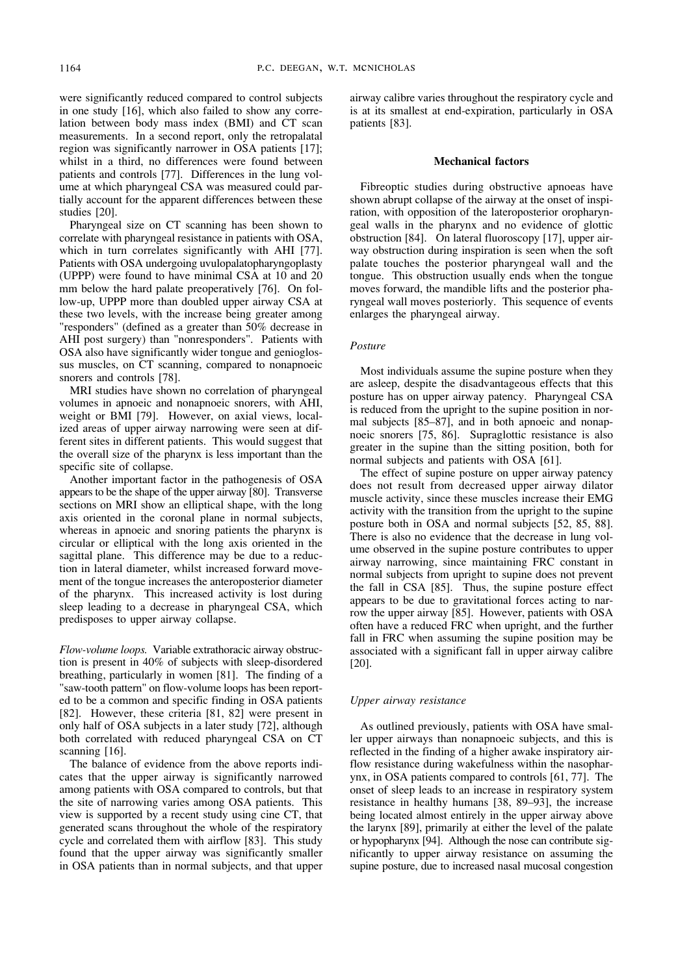were significantly reduced compared to control subjects in one study [16], which also failed to show any correlation between body mass index (BMI) and CT scan measurements. In a second report, only the retropalatal region was significantly narrower in OSA patients [17]; whilst in a third, no differences were found between patients and controls [77]. Differences in the lung volume at which pharyngeal CSA was measured could partially account for the apparent differences between these studies [20].

Pharyngeal size on CT scanning has been shown to correlate with pharyngeal resistance in patients with OSA, which in turn correlates significantly with AHI [77]. Patients with OSA undergoing uvulopalatopharyngoplasty (UPPP) were found to have minimal CSA at 10 and 20 mm below the hard palate preoperatively [76]. On follow-up, UPPP more than doubled upper airway CSA at these two levels, with the increase being greater among "responders" (defined as a greater than 50% decrease in AHI post surgery) than "nonresponders". Patients with OSA also have significantly wider tongue and genioglossus muscles, on CT scanning, compared to nonapnoeic snorers and controls [78].

MRI studies have shown no correlation of pharyngeal volumes in apnoeic and nonapnoeic snorers, with AHI, weight or BMI [79]. However, on axial views, localized areas of upper airway narrowing were seen at different sites in different patients. This would suggest that the overall size of the pharynx is less important than the specific site of collapse.

Another important factor in the pathogenesis of OSA appears to be the shape of the upper airway [80]. Transverse sections on MRI show an elliptical shape, with the long axis oriented in the coronal plane in normal subjects, whereas in apnoeic and snoring patients the pharynx is circular or elliptical with the long axis oriented in the sagittal plane. This difference may be due to a reduction in lateral diameter, whilst increased forward movement of the tongue increases the anteroposterior diameter of the pharynx. This increased activity is lost during sleep leading to a decrease in pharyngeal CSA, which predisposes to upper airway collapse.

*Flow-volume loops.* Variable extrathoracic airway obstruction is present in 40% of subjects with sleep-disordered breathing, particularly in women [81]. The finding of a "saw-tooth pattern" on flow-volume loops has been reported to be a common and specific finding in OSA patients [82]. However, these criteria [81, 82] were present in only half of OSA subjects in a later study [72], although both correlated with reduced pharyngeal CSA on CT scanning [16].

The balance of evidence from the above reports indicates that the upper airway is significantly narrowed among patients with OSA compared to controls, but that the site of narrowing varies among OSA patients. This view is supported by a recent study using cine CT, that generated scans throughout the whole of the respiratory cycle and correlated them with airflow [83]. This study found that the upper airway was significantly smaller in OSA patients than in normal subjects, and that upper airway calibre varies throughout the respiratory cycle and is at its smallest at end-expiration, particularly in OSA patients [83].

#### **Mechanical factors**

Fibreoptic studies during obstructive apnoeas have shown abrupt collapse of the airway at the onset of inspiration, with opposition of the lateroposterior oropharyngeal walls in the pharynx and no evidence of glottic obstruction [84]. On lateral fluoroscopy [17], upper airway obstruction during inspiration is seen when the soft palate touches the posterior pharyngeal wall and the tongue. This obstruction usually ends when the tongue moves forward, the mandible lifts and the posterior pharyngeal wall moves posteriorly. This sequence of events enlarges the pharyngeal airway.

## *Posture*

Most individuals assume the supine posture when they are asleep, despite the disadvantageous effects that this posture has on upper airway patency. Pharyngeal CSA is reduced from the upright to the supine position in normal subjects [85–87], and in both apnoeic and nonapnoeic snorers [75, 86]. Supraglottic resistance is also greater in the supine than the sitting position, both for normal subjects and patients with OSA [61].

The effect of supine posture on upper airway patency does not result from decreased upper airway dilator muscle activity, since these muscles increase their EMG activity with the transition from the upright to the supine posture both in OSA and normal subjects [52, 85, 88]. There is also no evidence that the decrease in lung volume observed in the supine posture contributes to upper airway narrowing, since maintaining FRC constant in normal subjects from upright to supine does not prevent the fall in CSA [85]. Thus, the supine posture effect appears to be due to gravitational forces acting to narrow the upper airway [85]. However, patients with OSA often have a reduced FRC when upright, and the further fall in FRC when assuming the supine position may be associated with a significant fall in upper airway calibre [20].

## *Upper airway resistance*

As outlined previously, patients with OSA have smaller upper airways than nonapnoeic subjects, and this is reflected in the finding of a higher awake inspiratory airflow resistance during wakefulness within the nasopharynx, in OSA patients compared to controls [61, 77]. The onset of sleep leads to an increase in respiratory system resistance in healthy humans [38, 89–93], the increase being located almost entirely in the upper airway above the larynx [89], primarily at either the level of the palate or hypopharynx [94]. Although the nose can contribute significantly to upper airway resistance on assuming the supine posture, due to increased nasal mucosal congestion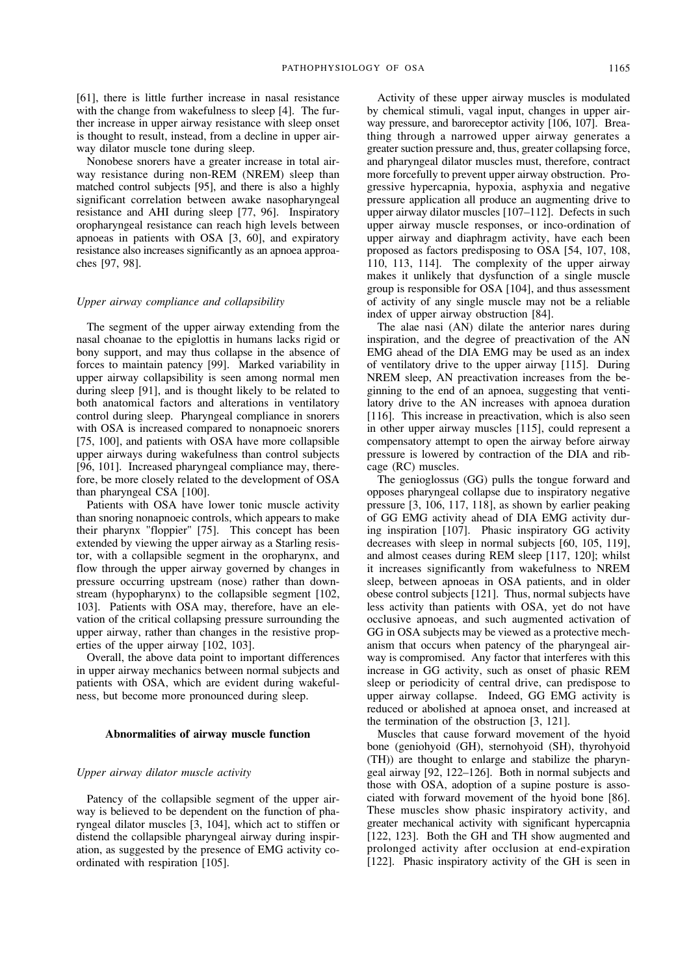[61], there is little further increase in nasal resistance with the change from wakefulness to sleep [4]. The further increase in upper airway resistance with sleep onset is thought to result, instead, from a decline in upper airway dilator muscle tone during sleep.

Nonobese snorers have a greater increase in total airway resistance during non-REM (NREM) sleep than matched control subjects [95], and there is also a highly significant correlation between awake nasopharyngeal resistance and AHI during sleep [77, 96]. Inspiratory oropharyngeal resistance can reach high levels between apnoeas in patients with OSA [3, 60], and expiratory resistance also increases significantly as an apnoea approaches [97, 98].

## *Upper airway compliance and collapsibility*

The segment of the upper airway extending from the nasal choanae to the epiglottis in humans lacks rigid or bony support, and may thus collapse in the absence of forces to maintain patency [99]. Marked variability in upper airway collapsibility is seen among normal men during sleep [91], and is thought likely to be related to both anatomical factors and alterations in ventilatory control during sleep. Pharyngeal compliance in snorers with OSA is increased compared to nonapnoeic snorers [75, 100], and patients with OSA have more collapsible upper airways during wakefulness than control subjects [96, 101]. Increased pharyngeal compliance may, therefore, be more closely related to the development of OSA than pharyngeal CSA [100].

Patients with OSA have lower tonic muscle activity than snoring nonapnoeic controls, which appears to make their pharynx "floppier" [75]. This concept has been extended by viewing the upper airway as a Starling resistor, with a collapsible segment in the oropharynx, and flow through the upper airway governed by changes in pressure occurring upstream (nose) rather than downstream (hypopharynx) to the collapsible segment [102, 103]. Patients with OSA may, therefore, have an elevation of the critical collapsing pressure surrounding the upper airway, rather than changes in the resistive properties of the upper airway [102, 103].

Overall, the above data point to important differences in upper airway mechanics between normal subjects and patients with OSA, which are evident during wakefulness, but become more pronounced during sleep.

## **Abnormalities of airway muscle function**

## *Upper airway dilator muscle activity*

Patency of the collapsible segment of the upper airway is believed to be dependent on the function of pharyngeal dilator muscles [3, 104], which act to stiffen or distend the collapsible pharyngeal airway during inspiration, as suggested by the presence of EMG activity coordinated with respiration [105].

Activity of these upper airway muscles is modulated by chemical stimuli, vagal input, changes in upper airway pressure, and baroreceptor activity [106, 107]. Breathing through a narrowed upper airway generates a greater suction pressure and, thus, greater collapsing force, and pharyngeal dilator muscles must, therefore, contract more forcefully to prevent upper airway obstruction. Progressive hypercapnia, hypoxia, asphyxia and negative pressure application all produce an augmenting drive to upper airway dilator muscles [107–112]. Defects in such upper airway muscle responses, or inco-ordination of upper airway and diaphragm activity, have each been proposed as factors predisposing to OSA [54, 107, 108, 110, 113, 114]. The complexity of the upper airway makes it unlikely that dysfunction of a single muscle group is responsible for OSA [104], and thus assessment of activity of any single muscle may not be a reliable index of upper airway obstruction [84].

The alae nasi (AN) dilate the anterior nares during inspiration, and the degree of preactivation of the AN EMG ahead of the DIA EMG may be used as an index of ventilatory drive to the upper airway [115]. During NREM sleep, AN preactivation increases from the beginning to the end of an apnoea, suggesting that ventilatory drive to the AN increases with apnoea duration [116]. This increase in preactivation, which is also seen in other upper airway muscles [115], could represent a compensatory attempt to open the airway before airway pressure is lowered by contraction of the DIA and ribcage (RC) muscles.

The genioglossus (GG) pulls the tongue forward and opposes pharyngeal collapse due to inspiratory negative pressure [3, 106, 117, 118], as shown by earlier peaking of GG EMG activity ahead of DIA EMG activity during inspiration [107]. Phasic inspiratory GG activity decreases with sleep in normal subjects [60, 105, 119], and almost ceases during REM sleep [117, 120]; whilst it increases significantly from wakefulness to NREM sleep, between apnoeas in OSA patients, and in older obese control subjects [121]. Thus, normal subjects have less activity than patients with OSA, yet do not have occlusive apnoeas, and such augmented activation of GG in OSA subjects may be viewed as a protective mechanism that occurs when patency of the pharyngeal airway is compromised. Any factor that interferes with this increase in GG activity, such as onset of phasic REM sleep or periodicity of central drive, can predispose to upper airway collapse. Indeed, GG EMG activity is reduced or abolished at apnoea onset, and increased at the termination of the obstruction [3, 121].

Muscles that cause forward movement of the hyoid bone (geniohyoid (GH), sternohyoid (SH), thyrohyoid (TH)) are thought to enlarge and stabilize the pharyngeal airway [92, 122–126]. Both in normal subjects and those with OSA, adoption of a supine posture is associated with forward movement of the hyoid bone [86]. These muscles show phasic inspiratory activity, and greater mechanical activity with significant hypercapnia [122, 123]. Both the GH and TH show augmented and prolonged activity after occlusion at end-expiration [122]. Phasic inspiratory activity of the GH is seen in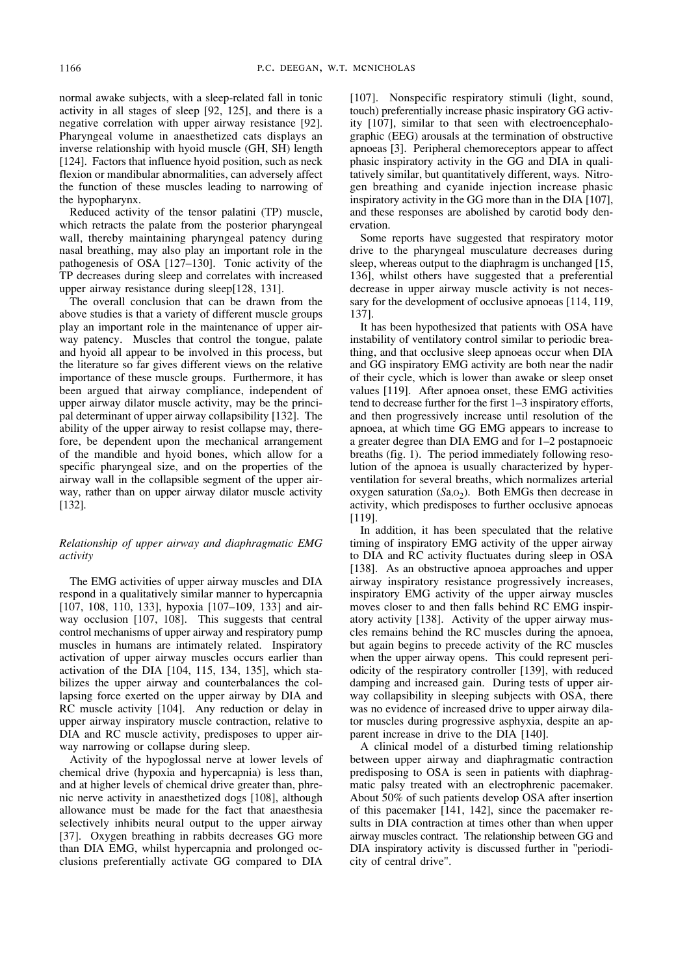normal awake subjects, with a sleep-related fall in tonic activity in all stages of sleep [92, 125], and there is a negative correlation with upper airway resistance [92]. Pharyngeal volume in anaesthetized cats displays an inverse relationship with hyoid muscle (GH, SH) length [124]. Factors that influence hyoid position, such as neck flexion or mandibular abnormalities, can adversely affect the function of these muscles leading to narrowing of the hypopharynx.

Reduced activity of the tensor palatini (TP) muscle, which retracts the palate from the posterior pharyngeal wall, thereby maintaining pharyngeal patency during nasal breathing, may also play an important role in the pathogenesis of OSA [127–130]. Tonic activity of the TP decreases during sleep and correlates with increased upper airway resistance during sleep[128, 131].

The overall conclusion that can be drawn from the above studies is that a variety of different muscle groups play an important role in the maintenance of upper airway patency. Muscles that control the tongue, palate and hyoid all appear to be involved in this process, but the literature so far gives different views on the relative importance of these muscle groups. Furthermore, it has been argued that airway compliance, independent of upper airway dilator muscle activity, may be the principal determinant of upper airway collapsibility [132]. The ability of the upper airway to resist collapse may, therefore, be dependent upon the mechanical arrangement of the mandible and hyoid bones, which allow for a specific pharyngeal size, and on the properties of the airway wall in the collapsible segment of the upper airway, rather than on upper airway dilator muscle activity [132].

## *Relationship of upper airway and diaphragmatic EMG activity*

The EMG activities of upper airway muscles and DIA respond in a qualitatively similar manner to hypercapnia [107, 108, 110, 133], hypoxia [107–109, 133] and airway occlusion [107, 108]. This suggests that central control mechanisms of upper airway and respiratory pump muscles in humans are intimately related. Inspiratory activation of upper airway muscles occurs earlier than activation of the DIA [104, 115, 134, 135], which stabilizes the upper airway and counterbalances the collapsing force exerted on the upper airway by DIA and RC muscle activity [104]. Any reduction or delay in upper airway inspiratory muscle contraction, relative to DIA and RC muscle activity, predisposes to upper airway narrowing or collapse during sleep.

Activity of the hypoglossal nerve at lower levels of chemical drive (hypoxia and hypercapnia) is less than, and at higher levels of chemical drive greater than, phrenic nerve activity in anaesthetized dogs [108], although allowance must be made for the fact that anaesthesia selectively inhibits neural output to the upper airway [37]. Oxygen breathing in rabbits decreases GG more than DIA EMG, whilst hypercapnia and prolonged occlusions preferentially activate GG compared to DIA [107]. Nonspecific respiratory stimuli (light, sound, touch) preferentially increase phasic inspiratory GG activity [107], similar to that seen with electroencephalographic (EEG) arousals at the termination of obstructive apnoeas [3]. Peripheral chemoreceptors appear to affect phasic inspiratory activity in the GG and DIA in qualitatively similar, but quantitatively different, ways. Nitrogen breathing and cyanide injection increase phasic inspiratory activity in the GG more than in the DIA [107], and these responses are abolished by carotid body denervation.

Some reports have suggested that respiratory motor drive to the pharyngeal musculature decreases during sleep, whereas output to the diaphragm is unchanged [15, 136], whilst others have suggested that a preferential decrease in upper airway muscle activity is not necessary for the development of occlusive apnoeas [114, 119, 137].

It has been hypothesized that patients with OSA have instability of ventilatory control similar to periodic breathing, and that occlusive sleep apnoeas occur when DIA and GG inspiratory EMG activity are both near the nadir of their cycle, which is lower than awake or sleep onset values [119]. After apnoea onset, these EMG activities tend to decrease further for the first 1–3 inspiratory efforts, and then progressively increase until resolution of the apnoea, at which time GG EMG appears to increase to a greater degree than DIA EMG and for 1–2 postapnoeic breaths (fig. 1). The period immediately following resolution of the apnoea is usually characterized by hyperventilation for several breaths, which normalizes arterial oxygen saturation  $(Sa, 0<sub>2</sub>)$ . Both EMGs then decrease in activity, which predisposes to further occlusive apnoeas [119].

In addition, it has been speculated that the relative timing of inspiratory EMG activity of the upper airway to DIA and RC activity fluctuates during sleep in OSA [138]. As an obstructive apnoea approaches and upper airway inspiratory resistance progressively increases, inspiratory EMG activity of the upper airway muscles moves closer to and then falls behind RC EMG inspiratory activity [138]. Activity of the upper airway muscles remains behind the RC muscles during the apnoea, but again begins to precede activity of the RC muscles when the upper airway opens. This could represent periodicity of the respiratory controller [139], with reduced damping and increased gain. During tests of upper airway collapsibility in sleeping subjects with OSA, there was no evidence of increased drive to upper airway dilator muscles during progressive asphyxia, despite an apparent increase in drive to the DIA [140].

A clinical model of a disturbed timing relationship between upper airway and diaphragmatic contraction predisposing to OSA is seen in patients with diaphragmatic palsy treated with an electrophrenic pacemaker. About 50% of such patients develop OSA after insertion of this pacemaker [141, 142], since the pacemaker results in DIA contraction at times other than when upper airway muscles contract. The relationship between GG and DIA inspiratory activity is discussed further in "periodicity of central drive".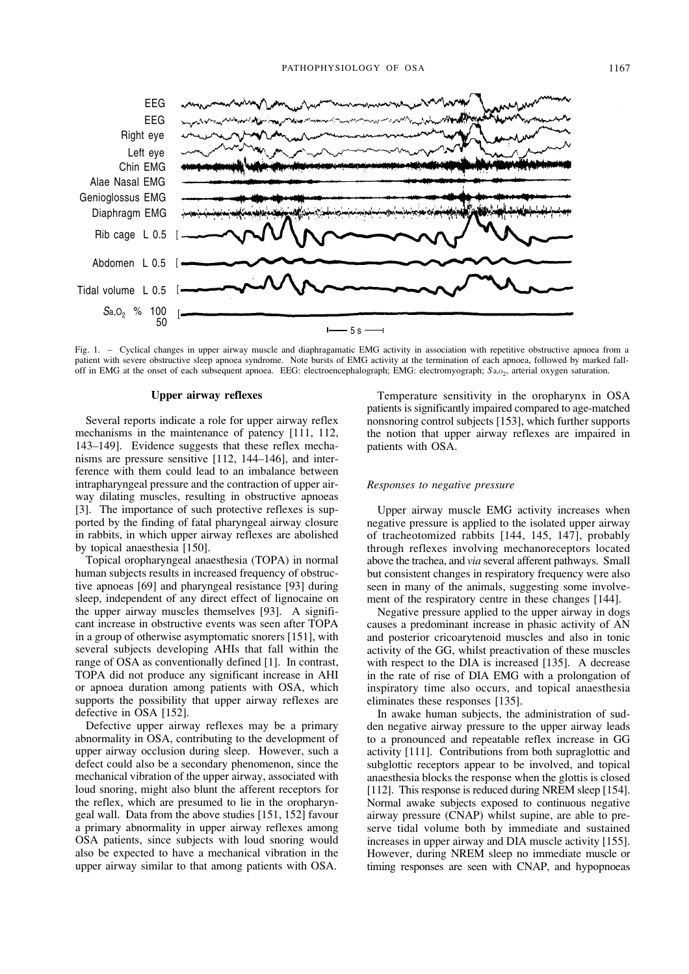

Fig. 1. – Cyclical changes in upper airway muscle and diaphragamatic EMG activity in association with repetitive obstructive apnoea from a patient with severe obstructive sleep apnoea syndrome. Note bursts of EMG activity at the termination of each apnoea, followed by marked falloff in EMG at the onset of each subsequent apnoea. EEG: electroencephalograph; EMG: electromyograph; *S*a,O2, arterial oxygen saturation.

#### **Upper airway reflexes**

Several reports indicate a role for upper airway reflex mechanisms in the maintenance of patency [111, 112, 143–149]. Evidence suggests that these reflex mechanisms are pressure sensitive [112, 144–146], and interference with them could lead to an imbalance between intrapharyngeal pressure and the contraction of upper airway dilating muscles, resulting in obstructive apnoeas [3]. The importance of such protective reflexes is supported by the finding of fatal pharyngeal airway closure in rabbits, in which upper airway reflexes are abolished by topical anaesthesia [150].

Topical oropharyngeal anaesthesia (TOPA) in normal human subjects results in increased frequency of obstructive apnoeas [69] and pharyngeal resistance [93] during sleep, independent of any direct effect of lignocaine on the upper airway muscles themselves [93]. A significant increase in obstructive events was seen after TOPA in a group of otherwise asymptomatic snorers [151], with several subjects developing AHIs that fall within the range of OSA as conventionally defined [1]. In contrast, TOPA did not produce any significant increase in AHI or apnoea duration among patients with OSA, which supports the possibility that upper airway reflexes are defective in OSA [152].

Defective upper airway reflexes may be a primary abnormality in OSA, contributing to the development of upper airway occlusion during sleep. However, such a defect could also be a secondary phenomenon, since the mechanical vibration of the upper airway, associated with loud snoring, might also blunt the afferent receptors for the reflex, which are presumed to lie in the oropharyngeal wall. Data from the above studies [151, 152] favour a primary abnormality in upper airway reflexes among OSA patients, since subjects with loud snoring would also be expected to have a mechanical vibration in the upper airway similar to that among patients with OSA.

Temperature sensitivity in the oropharynx in OSA patients is significantly impaired compared to age-matched nonsnoring control subjects [153], which further supports the notion that upper airway reflexes are impaired in patients with OSA.

#### *Responses to negative pressure*

Upper airway muscle EMG activity increases when negative pressure is applied to the isolated upper airway of tracheotomized rabbits [144, 145, 147], probably through reflexes involving mechanoreceptors located above the trachea, and *via* several afferent pathways. Small but consistent changes in respiratory frequency were also seen in many of the animals, suggesting some involvement of the respiratory centre in these changes [144].

Negative pressure applied to the upper airway in dogs causes a predominant increase in phasic activity of AN and posterior cricoarytenoid muscles and also in tonic activity of the GG, whilst preactivation of these muscles with respect to the DIA is increased [135]. A decrease in the rate of rise of DIA EMG with a prolongation of inspiratory time also occurs, and topical anaesthesia eliminates these responses [135].

In awake human subjects, the administration of sudden negative airway pressure to the upper airway leads to a pronounced and repeatable reflex increase in GG activity [111]. Contributions from both supraglottic and subglottic receptors appear to be involved, and topical anaesthesia blocks the response when the glottis is closed [112]. This response is reduced during NREM sleep [154]. Normal awake subjects exposed to continuous negative airway pressure (CNAP) whilst supine, are able to preserve tidal volume both by immediate and sustained increases in upper airway and DIA muscle activity [155]. However, during NREM sleep no immediate muscle or timing responses are seen with CNAP, and hypopnoeas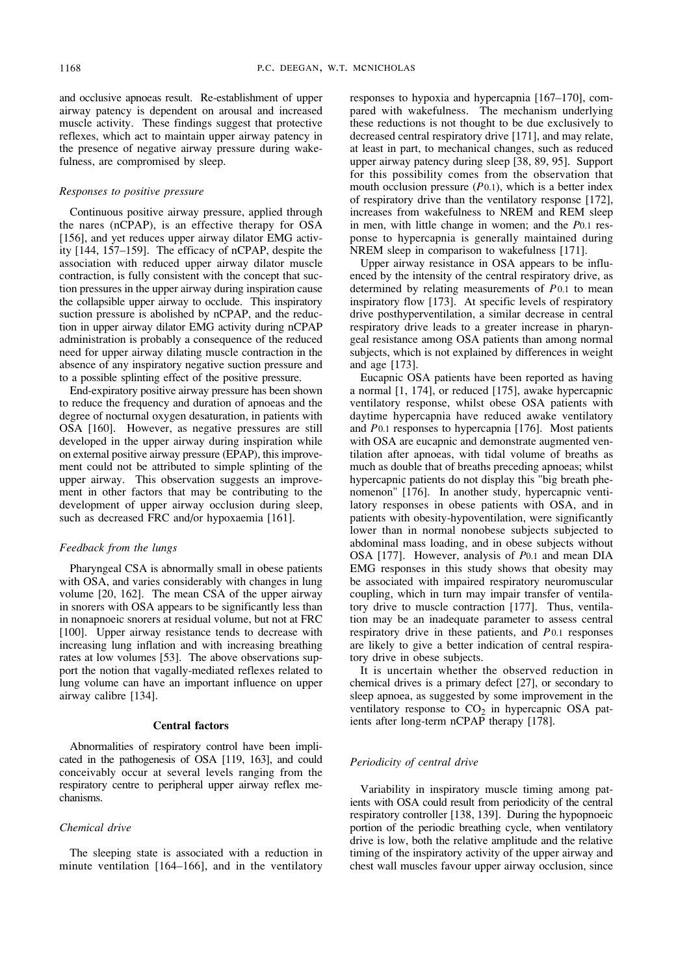and occlusive apnoeas result. Re-establishment of upper airway patency is dependent on arousal and increased muscle activity. These findings suggest that protective reflexes, which act to maintain upper airway patency in the presence of negative airway pressure during wakefulness, are compromised by sleep.

#### *Responses to positive pressure*

Continuous positive airway pressure, applied through the nares (nCPAP), is an effective therapy for OSA [156], and yet reduces upper airway dilator EMG activity [144, 157–159]. The efficacy of nCPAP, despite the association with reduced upper airway dilator muscle contraction, is fully consistent with the concept that suction pressures in the upper airway during inspiration cause the collapsible upper airway to occlude. This inspiratory suction pressure is abolished by nCPAP, and the reduction in upper airway dilator EMG activity during nCPAP administration is probably a consequence of the reduced need for upper airway dilating muscle contraction in the absence of any inspiratory negative suction pressure and to a possible splinting effect of the positive pressure.

End-expiratory positive airway pressure has been shown to reduce the frequency and duration of apnoeas and the degree of nocturnal oxygen desaturation, in patients with OSA [160]. However, as negative pressures are still developed in the upper airway during inspiration while on external positive airway pressure (EPAP), this improvement could not be attributed to simple splinting of the upper airway. This observation suggests an improvement in other factors that may be contributing to the development of upper airway occlusion during sleep, such as decreased FRC and/or hypoxaemia [161].

#### *Feedback from the lungs*

Pharyngeal CSA is abnormally small in obese patients with OSA, and varies considerably with changes in lung volume [20, 162]. The mean CSA of the upper airway in snorers with OSA appears to be significantly less than in nonapnoeic snorers at residual volume, but not at FRC [100]. Upper airway resistance tends to decrease with increasing lung inflation and with increasing breathing rates at low volumes [53]. The above observations support the notion that vagally-mediated reflexes related to lung volume can have an important influence on upper airway calibre [134].

#### **Central factors**

Abnormalities of respiratory control have been implicated in the pathogenesis of OSA [119, 163], and could conceivably occur at several levels ranging from the respiratory centre to peripheral upper airway reflex mechanisms.

## *Chemical drive*

The sleeping state is associated with a reduction in minute ventilation [164–166], and in the ventilatory responses to hypoxia and hypercapnia [167–170], compared with wakefulness. The mechanism underlying these reductions is not thought to be due exclusively to decreased central respiratory drive [171], and may relate, at least in part, to mechanical changes, such as reduced upper airway patency during sleep [38, 89, 95]. Support for this possibility comes from the observation that mouth occlusion pressure (*P*0.1), which is a better index of respiratory drive than the ventilatory response [172], increases from wakefulness to NREM and REM sleep in men, with little change in women; and the *P*0.1 response to hypercapnia is generally maintained during NREM sleep in comparison to wakefulness [171].

Upper airway resistance in OSA appears to be influenced by the intensity of the central respiratory drive, as determined by relating measurements of *P*0.1 to mean inspiratory flow [173]. At specific levels of respiratory drive posthyperventilation, a similar decrease in central respiratory drive leads to a greater increase in pharyngeal resistance among OSA patients than among normal subjects, which is not explained by differences in weight and age [173].

Eucapnic OSA patients have been reported as having a normal [1, 174], or reduced [175], awake hypercapnic ventilatory response, whilst obese OSA patients with daytime hypercapnia have reduced awake ventilatory and *P*0.1 responses to hypercapnia [176]. Most patients with OSA are eucapnic and demonstrate augmented ventilation after apnoeas, with tidal volume of breaths as much as double that of breaths preceding apnoeas; whilst hypercapnic patients do not display this "big breath phenomenon" [176]. In another study, hypercapnic ventilatory responses in obese patients with OSA, and in patients with obesity-hypoventilation, were significantly lower than in normal nonobese subjects subjected to abdominal mass loading, and in obese subjects without OSA [177]. However, analysis of *P*0.1 and mean DIA EMG responses in this study shows that obesity may be associated with impaired respiratory neuromuscular coupling, which in turn may impair transfer of ventilatory drive to muscle contraction [177]. Thus, ventilation may be an inadequate parameter to assess central respiratory drive in these patients, and *P*0.1 responses are likely to give a better indication of central respiratory drive in obese subjects.

It is uncertain whether the observed reduction in chemical drives is a primary defect [27], or secondary to sleep apnoea, as suggested by some improvement in the ventilatory response to  $CO<sub>2</sub>$  in hypercapnic OSA patients after long-term nCPAP therapy [178].

## *Periodicity of central drive*

Variability in inspiratory muscle timing among patients with OSA could result from periodicity of the central respiratory controller [138, 139]. During the hypopnoeic portion of the periodic breathing cycle, when ventilatory drive is low, both the relative amplitude and the relative timing of the inspiratory activity of the upper airway and chest wall muscles favour upper airway occlusion, since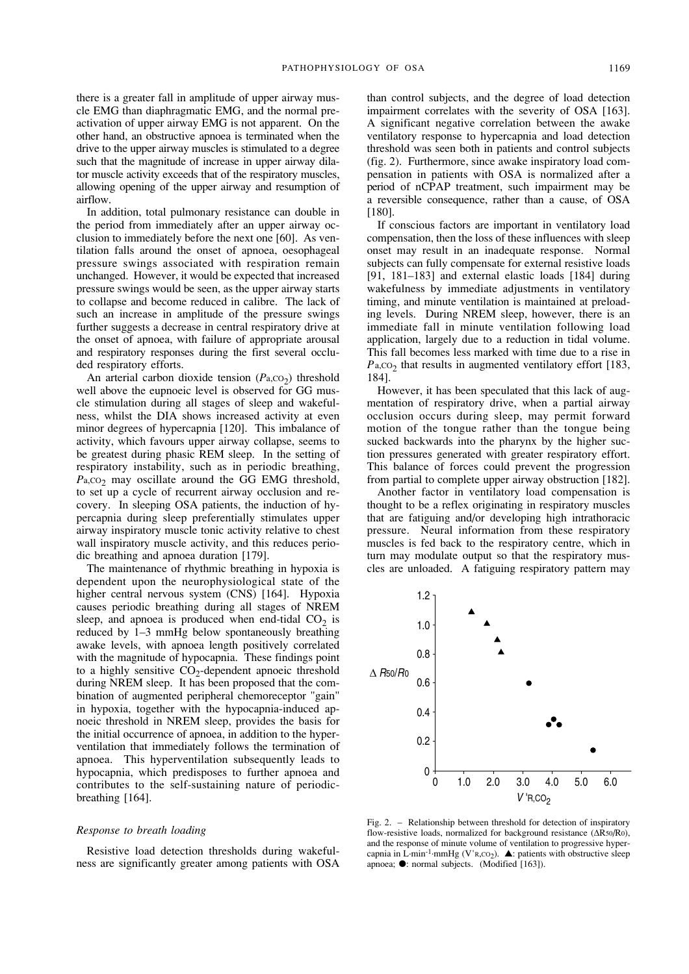there is a greater fall in amplitude of upper airway muscle EMG than diaphragmatic EMG, and the normal preactivation of upper airway EMG is not apparent. On the other hand, an obstructive apnoea is terminated when the drive to the upper airway muscles is stimulated to a degree such that the magnitude of increase in upper airway dilator muscle activity exceeds that of the respiratory muscles, allowing opening of the upper airway and resumption of airflow.

In addition, total pulmonary resistance can double in the period from immediately after an upper airway occlusion to immediately before the next one [60]. As ventilation falls around the onset of apnoea, oesophageal pressure swings associated with respiration remain unchanged. However, it would be expected that increased pressure swings would be seen, as the upper airway starts to collapse and become reduced in calibre. The lack of such an increase in amplitude of the pressure swings further suggests a decrease in central respiratory drive at the onset of apnoea, with failure of appropriate arousal and respiratory responses during the first several occluded respiratory efforts.

An arterial carbon dioxide tension  $(P_{a,CO_2})$  threshold well above the eupnoeic level is observed for GG muscle stimulation during all stages of sleep and wakefulness, whilst the DIA shows increased activity at even minor degrees of hypercapnia [120]. This imbalance of activity, which favours upper airway collapse, seems to be greatest during phasic REM sleep. In the setting of respiratory instability, such as in periodic breathing, P<sub>a</sub>,co<sub>2</sub> may oscillate around the GG EMG threshold, to set up a cycle of recurrent airway occlusion and recovery. In sleeping OSA patients, the induction of hypercapnia during sleep preferentially stimulates upper airway inspiratory muscle tonic activity relative to chest wall inspiratory muscle activity, and this reduces periodic breathing and apnoea duration [179].

The maintenance of rhythmic breathing in hypoxia is dependent upon the neurophysiological state of the higher central nervous system (CNS) [164]. Hypoxia causes periodic breathing during all stages of NREM sleep, and apnoea is produced when end-tidal  $CO<sub>2</sub>$  is reduced by 1–3 mmHg below spontaneously breathing awake levels, with apnoea length positively correlated with the magnitude of hypocapnia. These findings point to a highly sensitive  $CO_2$ -dependent apnoeic threshold during NREM sleep. It has been proposed that the combination of augmented peripheral chemoreceptor "gain" in hypoxia, together with the hypocapnia-induced apnoeic threshold in NREM sleep, provides the basis for the initial occurrence of apnoea, in addition to the hyperventilation that immediately follows the termination of apnoea. This hyperventilation subsequently leads to hypocapnia, which predisposes to further apnoea and contributes to the self-sustaining nature of periodicbreathing [164].

#### *Response to breath loading*

Resistive load detection thresholds during wakefulness are significantly greater among patients with OSA

than control subjects, and the degree of load detection impairment correlates with the severity of OSA [163]. A significant negative correlation between the awake ventilatory response to hypercapnia and load detection threshold was seen both in patients and control subjects (fig. 2). Furthermore, since awake inspiratory load compensation in patients with OSA is normalized after a period of nCPAP treatment, such impairment may be a reversible consequence, rather than a cause, of OSA [180].

If conscious factors are important in ventilatory load compensation, then the loss of these influences with sleep onset may result in an inadequate response. Normal subjects can fully compensate for external resistive loads [91, 181–183] and external elastic loads [184] during wakefulness by immediate adjustments in ventilatory timing, and minute ventilation is maintained at preloading levels. During NREM sleep, however, there is an immediate fall in minute ventilation following load application, largely due to a reduction in tidal volume. This fall becomes less marked with time due to a rise in  $P_{a,CO_2}$  that results in augmented ventilatory effort [183, 184].

However, it has been speculated that this lack of augmentation of respiratory drive, when a partial airway occlusion occurs during sleep, may permit forward motion of the tongue rather than the tongue being sucked backwards into the pharynx by the higher suction pressures generated with greater respiratory effort. This balance of forces could prevent the progression from partial to complete upper airway obstruction [182].

Another factor in ventilatory load compensation is thought to be a reflex originating in respiratory muscles that are fatiguing and/or developing high intrathoracic pressure. Neural information from these respiratory muscles is fed back to the respiratory centre, which in turn may modulate output so that the respiratory muscles are unloaded. A fatiguing respiratory pattern may



Fig. 2. – Relationship between threshold for detection of inspiratory flow-resistive loads, normalized for background resistance (∆R50/R0), and the response of minute volume of ventilation to progressive hypercapnia in L·min<sup>-1</sup>·mmHg (V'R, CO<sub>2</sub>).  $\blacktriangle$ : patients with obstructive sleep apnoea; ●: normal subjects. (Modified [163]).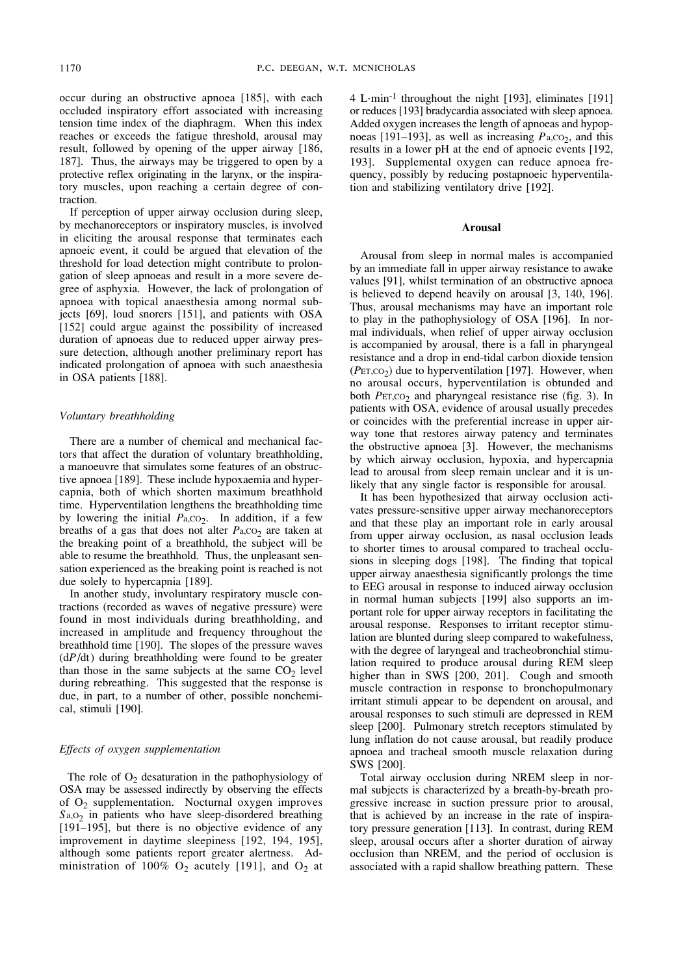occur during an obstructive apnoea [185], with each occluded inspiratory effort associated with increasing tension time index of the diaphragm. When this index reaches or exceeds the fatigue threshold, arousal may result, followed by opening of the upper airway [186, 187]. Thus, the airways may be triggered to open by a protective reflex originating in the larynx, or the inspiratory muscles, upon reaching a certain degree of contraction.

If perception of upper airway occlusion during sleep, by mechanoreceptors or inspiratory muscles, is involved in eliciting the arousal response that terminates each apnoeic event, it could be argued that elevation of the threshold for load detection might contribute to prolongation of sleep apnoeas and result in a more severe degree of asphyxia. However, the lack of prolongation of apnoea with topical anaesthesia among normal subjects [69], loud snorers [151], and patients with OSA [152] could argue against the possibility of increased duration of apnoeas due to reduced upper airway pressure detection, although another preliminary report has indicated prolongation of apnoea with such anaesthesia in OSA patients [188].

## *Voluntary breathholding*

There are a number of chemical and mechanical factors that affect the duration of voluntary breathholding, a manoeuvre that simulates some features of an obstructive apnoea [189]. These include hypoxaemia and hypercapnia, both of which shorten maximum breathhold time. Hyperventilation lengthens the breathholding time by lowering the initial  $P_{a,CO_2}$ . In addition, if a few breaths of a gas that does not alter *P*<sub>a</sub>, $\overline{CO_2}$  are taken at the breaking point of a breathhold, the subject will be able to resume the breathhold. Thus, the unpleasant sensation experienced as the breaking point is reached is not due solely to hypercapnia [189].

In another study, involuntary respiratory muscle contractions (recorded as waves of negative pressure) were found in most individuals during breathholding, and increased in amplitude and frequency throughout the breathhold time [190]. The slopes of the pressure waves (d*P*/dt) during breathholding were found to be greater than those in the same subjects at the same  $CO<sub>2</sub>$  level during rebreathing. This suggested that the response is due, in part, to a number of other, possible nonchemical, stimuli [190].

#### *Effects of oxygen supplementation*

The role of  $O_2$  desaturation in the pathophysiology of OSA may be assessed indirectly by observing the effects of  $O_2$  supplementation. Nocturnal oxygen improves S<sub>a,O2</sub> in patients who have sleep-disordered breathing [191–195], but there is no objective evidence of any improvement in daytime sleepiness [192, 194, 195], although some patients report greater alertness. Administration of 100%  $O_2$  acutely [191], and  $O_2$  at 4 L·min-1 throughout the night [193], eliminates [191] or reduces [193] bradycardia associated with sleep apnoea. Added oxygen increases the length of apnoeas and hypopnoeas  $[191-193]$ , as well as increasing  $P_{a,CO_2}$ , and this results in a lower pH at the end of apnoeic events [192, 193]. Supplemental oxygen can reduce apnoea frequency, possibly by reducing postapnoeic hyperventilation and stabilizing ventilatory drive [192].

## **Arousal**

Arousal from sleep in normal males is accompanied by an immediate fall in upper airway resistance to awake values [91], whilst termination of an obstructive apnoea is believed to depend heavily on arousal [3, 140, 196]. Thus, arousal mechanisms may have an important role to play in the pathophysiology of OSA [196]. In normal individuals, when relief of upper airway occlusion is accompanied by arousal, there is a fall in pharyngeal resistance and a drop in end-tidal carbon dioxide tension  $(PET, CO<sub>2</sub>)$  due to hyperventilation [197]. However, when no arousal occurs, hyperventilation is obtunded and both *PET*, co<sub>2</sub> and pharyngeal resistance rise (fig. 3). In patients with OSA, evidence of arousal usually precedes or coincides with the preferential increase in upper airway tone that restores airway patency and terminates the obstructive apnoea [3]. However, the mechanisms by which airway occlusion, hypoxia, and hypercapnia lead to arousal from sleep remain unclear and it is unlikely that any single factor is responsible for arousal.

It has been hypothesized that airway occlusion activates pressure-sensitive upper airway mechanoreceptors and that these play an important role in early arousal from upper airway occlusion, as nasal occlusion leads to shorter times to arousal compared to tracheal occlusions in sleeping dogs [198]. The finding that topical upper airway anaesthesia significantly prolongs the time to EEG arousal in response to induced airway occlusion in normal human subjects [199] also supports an important role for upper airway receptors in facilitating the arousal response. Responses to irritant receptor stimulation are blunted during sleep compared to wakefulness, with the degree of laryngeal and tracheobronchial stimulation required to produce arousal during REM sleep higher than in SWS [200, 201]. Cough and smooth muscle contraction in response to bronchopulmonary irritant stimuli appear to be dependent on arousal, and arousal responses to such stimuli are depressed in REM sleep [200]. Pulmonary stretch receptors stimulated by lung inflation do not cause arousal, but readily produce apnoea and tracheal smooth muscle relaxation during SWS [200].

Total airway occlusion during NREM sleep in normal subjects is characterized by a breath-by-breath progressive increase in suction pressure prior to arousal, that is achieved by an increase in the rate of inspiratory pressure generation [113]. In contrast, during REM sleep, arousal occurs after a shorter duration of airway occlusion than NREM, and the period of occlusion is associated with a rapid shallow breathing pattern. These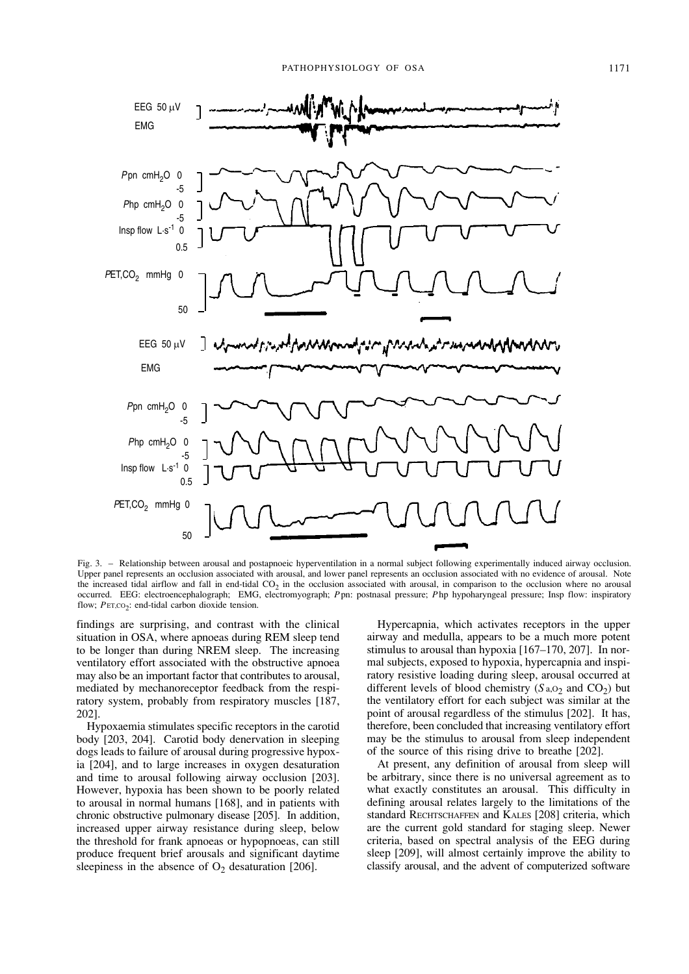

Fig. 3. – Relationship between arousal and postapnoeic hyperventilation in a normal subject following experimentally induced airway occlusion. Upper panel represents an occlusion associated with arousal, and lower panel represents an occlusion associated with no evidence of arousal. Note the increased tidal airflow and fall in end-tidal CO<sub>2</sub> in the occlusion associated with arousal, in comparison to the occlusion where no arousal occurred. EEG: electroencephalograph; EMG, electromyograph; *P*pn: postnasal pressure; *P*hp hypoharyngeal pressure; Insp flow: inspiratory flow: *PET.CO*<sub>2</sub>: end-tidal carbon dioxide tension.

findings are surprising, and contrast with the clinical situation in OSA, where apnoeas during REM sleep tend to be longer than during NREM sleep. The increasing ventilatory effort associated with the obstructive apnoea may also be an important factor that contributes to arousal, mediated by mechanoreceptor feedback from the respiratory system, probably from respiratory muscles [187, 202].

Hypoxaemia stimulates specific receptors in the carotid body [203, 204]. Carotid body denervation in sleeping dogs leads to failure of arousal during progressive hypoxia [204], and to large increases in oxygen desaturation and time to arousal following airway occlusion [203]. However, hypoxia has been shown to be poorly related to arousal in normal humans [168], and in patients with chronic obstructive pulmonary disease [205]. In addition, increased upper airway resistance during sleep, below the threshold for frank apnoeas or hypopnoeas, can still produce frequent brief arousals and significant daytime sleepiness in the absence of  $O_2$  desaturation [206].

Hypercapnia, which activates receptors in the upper airway and medulla, appears to be a much more potent stimulus to arousal than hypoxia [167–170, 207]. In normal subjects, exposed to hypoxia, hypercapnia and inspiratory resistive loading during sleep, arousal occurred at different levels of blood chemistry  $(Sa, 0<sub>2</sub>$  and  $CO<sub>2</sub>)$  but the ventilatory effort for each subject was similar at the point of arousal regardless of the stimulus [202]. It has, therefore, been concluded that increasing ventilatory effort may be the stimulus to arousal from sleep independent of the source of this rising drive to breathe [202].

At present, any definition of arousal from sleep will be arbitrary, since there is no universal agreement as to what exactly constitutes an arousal. This difficulty in defining arousal relates largely to the limitations of the standard RECHTSCHAFFEN and KALES [208] criteria, which are the current gold standard for staging sleep. Newer criteria, based on spectral analysis of the EEG during sleep [209], will almost certainly improve the ability to classify arousal, and the advent of computerized software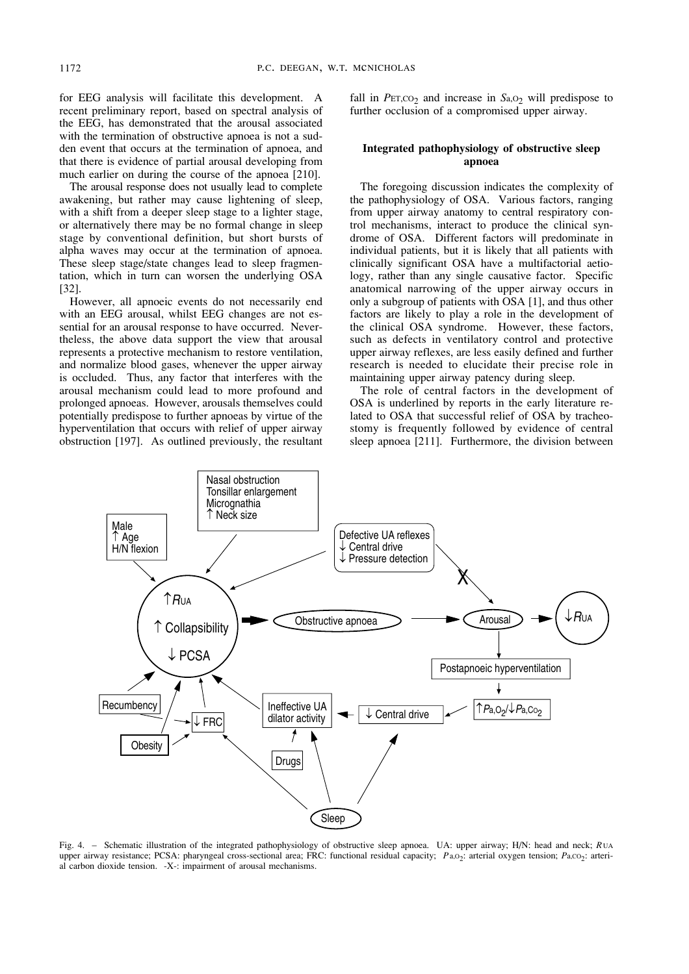for EEG analysis will facilitate this development. A recent preliminary report, based on spectral analysis of the EEG, has demonstrated that the arousal associated with the termination of obstructive apnoea is not a sudden event that occurs at the termination of apnoea, and that there is evidence of partial arousal developing from much earlier on during the course of the apnoea [210].

The arousal response does not usually lead to complete awakening, but rather may cause lightening of sleep, with a shift from a deeper sleep stage to a lighter stage, or alternatively there may be no formal change in sleep stage by conventional definition, but short bursts of alpha waves may occur at the termination of apnoea. These sleep stage/state changes lead to sleep fragmentation, which in turn can worsen the underlying OSA [32].

However, all apnoeic events do not necessarily end with an EEG arousal, whilst EEG changes are not essential for an arousal response to have occurred. Nevertheless, the above data support the view that arousal represents a protective mechanism to restore ventilation, and normalize blood gases, whenever the upper airway is occluded. Thus, any factor that interferes with the arousal mechanism could lead to more profound and prolonged apnoeas. However, arousals themselves could potentially predispose to further apnoeas by virtue of the hyperventilation that occurs with relief of upper airway obstruction [197]. As outlined previously, the resultant fall in  $PET, CO<sub>2</sub>$  and increase in  $Sa, O<sub>2</sub>$  will predispose to further occlusion of a compromised upper airway.

## **Integrated pathophysiology of obstructive sleep apnoea**

The foregoing discussion indicates the complexity of the pathophysiology of OSA. Various factors, ranging from upper airway anatomy to central respiratory control mechanisms, interact to produce the clinical syndrome of OSA. Different factors will predominate in individual patients, but it is likely that all patients with clinically significant OSA have a multifactorial aetiology, rather than any single causative factor. Specific anatomical narrowing of the upper airway occurs in only a subgroup of patients with OSA [1], and thus other factors are likely to play a role in the development of the clinical OSA syndrome. However, these factors, such as defects in ventilatory control and protective upper airway reflexes, are less easily defined and further research is needed to elucidate their precise role in maintaining upper airway patency during sleep.

The role of central factors in the development of OSA is underlined by reports in the early literature related to OSA that successful relief of OSA by tracheostomy is frequently followed by evidence of central sleep apnoea [211]. Furthermore, the division between



Fig. 4. – Schematic illustration of the integrated pathophysiology of obstructive sleep apnoea. UA: upper airway; H/N: head and neck; *R* UA upper airway resistance; PCSA: pharyngeal cross-sectional area; FRC: functional residual capacity; *Pa*,O<sub>2</sub>: arterial oxygen tension; *Pa*,CO<sub>2</sub>: arterial carbon dioxide tension. -X-: impairment of arousal mechanisms.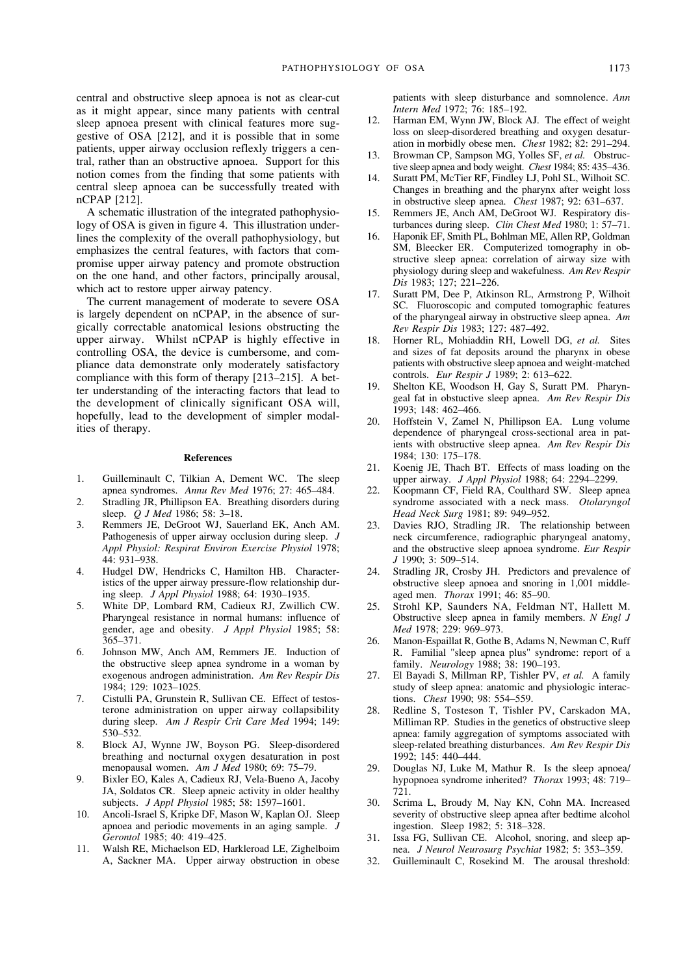central and obstructive sleep apnoea is not as clear-cut as it might appear, since many patients with central sleep apnoea present with clinical features more suggestive of OSA [212], and it is possible that in some patients, upper airway occlusion reflexly triggers a central, rather than an obstructive apnoea. Support for this notion comes from the finding that some patients with central sleep apnoea can be successfully treated with nCPAP [212].

A schematic illustration of the integrated pathophysiology of OSA is given in figure 4. This illustration underlines the complexity of the overall pathophysiology, but emphasizes the central features, with factors that compromise upper airway patency and promote obstruction on the one hand, and other factors, principally arousal, which act to restore upper airway patency.

The current management of moderate to severe OSA is largely dependent on nCPAP, in the absence of surgically correctable anatomical lesions obstructing the upper airway. Whilst nCPAP is highly effective in controlling OSA, the device is cumbersome, and compliance data demonstrate only moderately satisfactory compliance with this form of therapy [213–215]. A better understanding of the interacting factors that lead to the development of clinically significant OSA will, hopefully, lead to the development of simpler modalities of therapy.

#### **References**

- 1. Guilleminault C, Tilkian A, Dement WC. The sleep apnea syndromes. *Annu Rev Med* 1976; 27: 465–484.
- 2. Stradling JR, Phillipson EA. Breathing disorders during sleep. *Q J Med* 1986; 58: 3–18.
- 3. Remmers JE, DeGroot WJ, Sauerland EK, Anch AM. Pathogenesis of upper airway occlusion during sleep. *J Appl Physiol: Respirat Environ Exercise Physiol* 1978; 44: 931–938.
- 4. Hudgel DW, Hendricks C, Hamilton HB. Characteristics of the upper airway pressure-flow relationship during sleep. *J Appl Physiol* 1988; 64: 1930–1935.
- 5. White DP, Lombard RM, Cadieux RJ, Zwillich CW. Pharyngeal resistance in normal humans: influence of gender, age and obesity. *J Appl Physiol* 1985; 58: 365–371.
- 6. Johnson MW, Anch AM, Remmers JE. Induction of the obstructive sleep apnea syndrome in a woman by exogenous androgen administration. *Am Rev Respir Dis* 1984; 129: 1023–1025.
- 7. Cistulli PA, Grunstein R, Sullivan CE. Effect of testosterone administration on upper airway collapsibility during sleep. *Am J Respir Crit Care Med* 1994; 149: 530–532.
- 8. Block AJ, Wynne JW, Boyson PG. Sleep-disordered breathing and nocturnal oxygen desaturation in post menopausal women. *Am J Med* 1980; 69: 75–79.
- 9. Bixler EO, Kales A, Cadieux RJ, Vela-Bueno A, Jacoby JA, Soldatos CR. Sleep apneic activity in older healthy subjects. *J Appl Physiol* 1985; 58: 1597–1601.
- 10. Ancoli-Israel S, Kripke DF, Mason W, Kaplan OJ. Sleep apnoea and periodic movements in an aging sample. *J Gerontol* 1985; 40: 419–425.
- 11. Walsh RE, Michaelson ED, Harkleroad LE, Zighelboim A, Sackner MA. Upper airway obstruction in obese

patients with sleep disturbance and somnolence. *Ann Intern Med* 1972; 76: 185–192.

- 12. Harman EM, Wynn JW, Block AJ. The effect of weight loss on sleep-disordered breathing and oxygen desaturation in morbidly obese men. *Chest* 1982; 82: 291–294.
- 13. Browman CP, Sampson MG, Yolles SF, *et al.* Obstructive sleep apnea and body weight. *Chest* 1984; 85: 435–436.
- 14. Suratt PM, McTier RF, Findley LJ, Pohl SL, Wilhoit SC. Changes in breathing and the pharynx after weight loss in obstructive sleep apnea. *Chest* 1987; 92: 631–637.
- 15. Remmers JE, Anch AM, DeGroot WJ. Respiratory disturbances during sleep. *Clin Chest Med* 1980; 1: 57–71.
- 16. Haponik EF, Smith PL, Bohlman ME, Allen RP, Goldman SM, Bleecker ER. Computerized tomography in obstructive sleep apnea: correlation of airway size with physiology during sleep and wakefulness. *Am Rev Respir Dis* 1983; 127; 221–226.
- 17. Suratt PM, Dee P, Atkinson RL, Armstrong P, Wilhoit SC. Fluoroscopic and computed tomographic features of the pharyngeal airway in obstructive sleep apnea. *Am Rev Respir Dis* 1983; 127: 487–492.
- 18. Horner RL, Mohiaddin RH, Lowell DG, *et al.* Sites and sizes of fat deposits around the pharynx in obese patients with obstructive sleep apnoea and weight-matched controls. *Eur Respir J* 1989; 2: 613–622.
- 19. Shelton KE, Woodson H, Gay S, Suratt PM. Pharyngeal fat in obstuctive sleep apnea. *Am Rev Respir Dis* 1993; 148: 462–466.
- 20. Hoffstein V, Zamel N, Phillipson EA. Lung volume dependence of pharyngeal cross-sectional area in patients with obstructive sleep apnea. *Am Rev Respir Dis* 1984; 130: 175–178.
- 21. Koenig JE, Thach BT. Effects of mass loading on the upper airway. *J Appl Physiol* 1988; 64: 2294–2299.
- 22. Koopmann CF, Field RA, Coulthard SW. Sleep apnea syndrome associated with a neck mass. *Otolaryngol Head Neck Surg* 1981; 89: 949–952.
- 23. Davies RJO, Stradling JR. The relationship between neck circumference, radiographic pharyngeal anatomy, and the obstructive sleep apnoea syndrome. *Eur Respir J* 1990; 3: 509–514.
- 24. Stradling JR, Crosby JH. Predictors and prevalence of obstructive sleep apnoea and snoring in 1,001 middleaged men. *Thorax* 1991; 46: 85–90.
- 25. Strohl KP, Saunders NA, Feldman NT, Hallett M. Obstructive sleep apnea in family members. *N Engl J Med* 1978; 229: 969–973.
- 26. Manon-Espaillat R, Gothe B, Adams N, Newman C, Ruff R. Familial "sleep apnea plus" syndrome: report of a family. *Neurology* 1988; 38: 190–193.
- 27. El Bayadi S, Millman RP, Tishler PV, *et al.* A family study of sleep apnea: anatomic and physiologic interactions. *Chest* 1990; 98: 554–559.
- 28. Redline S, Tosteson T, Tishler PV, Carskadon MA, Milliman RP. Studies in the genetics of obstructive sleep apnea: family aggregation of symptoms associated with sleep-related breathing disturbances. *Am Rev Respir Dis* 1992; 145: 440–444.
- 29. Douglas NJ, Luke M, Mathur R. Is the sleep apnoea/ hypopnoea syndrome inherited? *Thorax* 1993; 48: 719– 721.
- 30. Scrima L, Broudy M, Nay KN, Cohn MA. Increased severity of obstructive sleep apnea after bedtime alcohol ingestion. Sleep 1982; 5: 318–328.
- 31. Issa FG, Sullivan CE. Alcohol, snoring, and sleep apnea. *J Neurol Neurosurg Psychiat* 1982; 5: 353–359.
- 32. Guilleminault C, Rosekind M. The arousal threshold: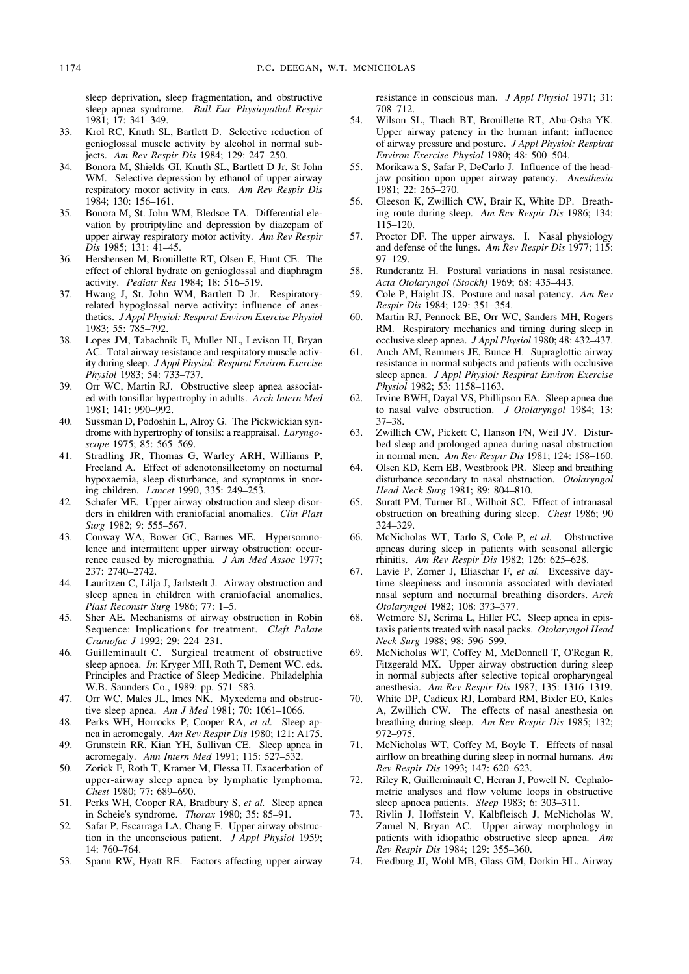sleep deprivation, sleep fragmentation, and obstructive sleep apnea syndrome. *Bull Eur Physiopathol Respir* 1981; 17: 341–349.

- 33. Krol RC, Knuth SL, Bartlett D. Selective reduction of genioglossal muscle activity by alcohol in normal subjects. *Am Rev Respir Dis* 1984; 129: 247–250.
- 34. Bonora M, Shields GI, Knuth SL, Bartlett D Jr, St John WM. Selective depression by ethanol of upper airway respiratory motor activity in cats. *Am Rev Respir Dis* 1984; 130: 156–161.
- 35. Bonora M, St. John WM, Bledsoe TA. Differential elevation by protriptyline and depression by diazepam of upper airway respiratory motor activity. *Am Rev Respir Dis* 1985; 131: 41–45.
- 36. Hershensen M, Brouillette RT, Olsen E, Hunt CE. The effect of chloral hydrate on genioglossal and diaphragm activity. *Pediatr Res* 1984; 18: 516–519.
- 37. Hwang J, St. John WM, Bartlett D Jr. Respiratoryrelated hypoglossal nerve activity: influence of anesthetics. *J Appl Physiol: Respirat Environ Exercise Physiol* 1983; 55: 785–792.
- 38. Lopes JM, Tabachnik E, Muller NL, Levison H, Bryan AC. Total airway resistance and respiratory muscle activity during sleep. *J Appl Physiol: Respirat Environ Exercise Physiol* 1983; 54: 733–737.
- 39. Orr WC, Martin RJ. Obstructive sleep apnea associated with tonsillar hypertrophy in adults. *Arch Intern Med* 1981; 141: 990–992.
- 40. Sussman D, Podoshin L, Alroy G. The Pickwickian syndrome with hypertrophy of tonsils: a reappraisal. *Laryngoscope* 1975; 85: 565–569.
- 41. Stradling JR, Thomas G, Warley ARH, Williams P, Freeland A. Effect of adenotonsillectomy on nocturnal hypoxaemia, sleep disturbance, and symptoms in snoring children. *Lancet* 1990, 335: 249–253.
- 42. Schafer ME. Upper airway obstruction and sleep disorders in children with craniofacial anomalies. *Clin Plast Surg* 1982; 9: 555–567.
- 43. Conway WA, Bower GC, Barnes ME. Hypersomnolence and intermittent upper airway obstruction: occurrence caused by micrognathia. *J Am Med Assoc* 1977; 237: 2740–2742.
- 44. Lauritzen C, Lilja J, Jarlstedt J. Airway obstruction and sleep apnea in children with craniofacial anomalies. *Plast Reconstr Surg* 1986; 77: 1–5.
- 45. Sher AE. Mechanisms of airway obstruction in Robin Sequence: Implications for treatment. *Cleft Palate Craniofac J* 1992; 29: 224–231.
- 46. Guilleminault C. Surgical treatment of obstructive sleep apnoea. *In*: Kryger MH, Roth T, Dement WC. eds. Principles and Practice of Sleep Medicine. Philadelphia W.B. Saunders Co., 1989: pp. 571–583.
- 47. Orr WC, Males JL, Imes NK. Myxedema and obstructive sleep apnea. *Am J Med* 1981; 70: 1061–1066.
- 48. Perks WH, Horrocks P, Cooper RA, *et al.* Sleep apnea in acromegaly. *Am Rev Respir Dis* 1980; 121: A175.
- 49. Grunstein RR, Kian YH, Sullivan CE. Sleep apnea in acromegaly. *Ann Intern Med* 1991; 115: 527–532.
- 50. Zorick F, Roth T, Kramer M, Flessa H. Exacerbation of upper-airway sleep apnea by lymphatic lymphoma. *Chest* 1980; 77: 689–690.
- 51. Perks WH, Cooper RA, Bradbury S, *et al.* Sleep apnea in Scheie's syndrome. *Thorax* 1980; 35: 85–91.
- 52. Safar P, Escarraga LA, Chang F. Upper airway obstruction in the unconscious patient. *J Appl Physiol* 1959; 14: 760–764.
- 53. Spann RW, Hyatt RE. Factors affecting upper airway

resistance in conscious man. *J Appl Physiol* 1971; 31: 708–712.

- 54. Wilson SL, Thach BT, Brouillette RT, Abu-Osba YK. Upper airway patency in the human infant: influence of airway pressure and posture. *J Appl Physiol: Respirat Environ Exercise Physiol* 1980; 48: 500–504.
- 55. Morikawa S, Safar P, DeCarlo J. Influence of the headjaw position upon upper airway patency. *Anesthesia* 1981; 22: 265–270.
- 56. Gleeson K, Zwillich CW, Brair K, White DP. Breathing route during sleep. *Am Rev Respir Dis* 1986; 134: 115–120.
- 57. Proctor DF. The upper airways. I. Nasal physiology and defense of the lungs. *Am Rev Respir Dis* 1977; 115: 97–129.
- 58. Rundcrantz H. Postural variations in nasal resistance. *Acta Otolaryngol (Stockh)* 1969; 68: 435–443.
- 59. Cole P, Haight JS. Posture and nasal patency. *Am Rev Respir Dis* 1984; 129: 351–354.
- 60. Martin RJ, Pennock BE, Orr WC, Sanders MH, Rogers RM. Respiratory mechanics and timing during sleep in occlusive sleep apnea. *J Appl Physiol* 1980; 48: 432–437.
- 61. Anch AM, Remmers JE, Bunce H. Supraglottic airway resistance in normal subjects and patients with occlusive sleep apnea. *J Appl Physiol: Respirat Environ Exercise Physiol* 1982; 53: 1158–1163.
- 62. Irvine BWH, Dayal VS, Phillipson EA. Sleep apnea due to nasal valve obstruction. *J Otolaryngol* 1984; 13: 37–38.
- 63. Zwillich CW, Pickett C, Hanson FN, Weil JV. Disturbed sleep and prolonged apnea during nasal obstruction in normal men. *Am Rev Respir Dis* 1981; 124: 158–160.
- 64. Olsen KD, Kern EB, Westbrook PR. Sleep and breathing disturbance secondary to nasal obstruction. *Otolaryngol Head Neck Surg* 1981; 89: 804–810.
- 65. Suratt PM, Turner BL, Wilhoit SC. Effect of intranasal obstruction on breathing during sleep. *Chest* 1986; 90 324–329.
- 66. McNicholas WT, Tarlo S, Cole P, *et al.* Obstructive apneas during sleep in patients with seasonal allergic rhinitis. *Am Rev Respir Dis* 1982; 126: 625–628.
- 67. Lavie P, Zomer J, Eliaschar F, *et al.* Excessive daytime sleepiness and insomnia associated with deviated nasal septum and nocturnal breathing disorders. *Arch Otolaryngol* 1982; 108: 373–377.
- 68. Wetmore SJ, Scrima L, Hiller FC. Sleep apnea in epistaxis patients treated with nasal packs. *Otolaryngol Head Neck Surg* 1988; 98: 596–599.
- 69. McNicholas WT, Coffey M, McDonnell T, O'Regan R, Fitzgerald MX. Upper airway obstruction during sleep in normal subjects after selective topical oropharyngeal anesthesia. *Am Rev Respir Dis* 1987; 135: 1316–1319.
- 70. White DP, Cadieux RJ, Lombard RM, Bixler EO, Kales A, Zwillich CW. The effects of nasal anesthesia on breathing during sleep. *Am Rev Respir Dis* 1985; 132; 972–975.
- 71. McNicholas WT, Coffey M, Boyle T. Effects of nasal airflow on breathing during sleep in normal humans. *Am Rev Respir Dis* 1993; 147: 620–623.
- 72. Riley R, Guilleminault C, Herran J, Powell N. Cephalometric analyses and flow volume loops in obstructive sleep apnoea patients. *Sleep* 1983; 6: 303–311.
- 73. Rivlin J, Hoffstein V, Kalbfleisch J, McNicholas W, Zamel N, Bryan AC. Upper airway morphology in patients with idiopathic obstructive sleep apnea. *Am Rev Respir Dis* 1984; 129: 355–360.
- 74. Fredburg JJ, Wohl MB, Glass GM, Dorkin HL. Airway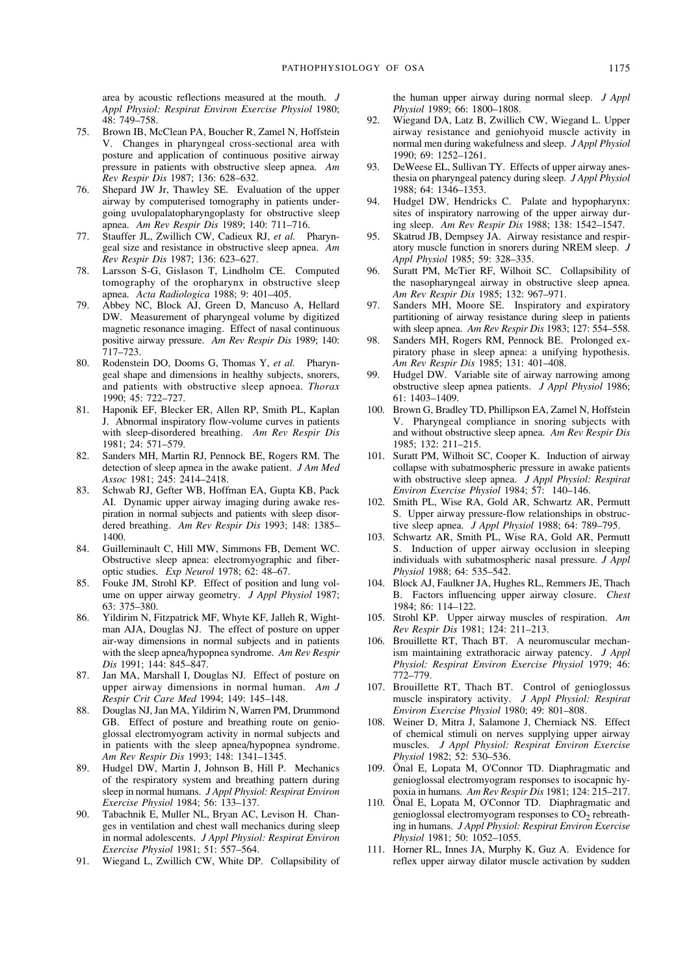area by acoustic reflections measured at the mouth. *J Appl Physiol: Respirat Environ Exercise Physiol* 1980; 48: 749–758.

- 75. Brown IB, McClean PA, Boucher R, Zamel N, Hoffstein V. Changes in pharyngeal cross-sectional area with posture and application of continuous positive airway pressure in patients with obstructive sleep apnea. *Am Rev Respir Dis* 1987; 136: 628–632.
- 76. Shepard JW Jr, Thawley SE. Evaluation of the upper airway by computerised tomography in patients undergoing uvulopalatopharyngoplasty for obstructive sleep apnea. *Am Rev Respir Dis* 1989; 140: 711–716.
- 77. Stauffer JL, Zwillich CW, Cadieux RJ, *et al.* Pharyngeal size and resistance in obstructive sleep apnea. *Am Rev Respir Dis* 1987; 136: 623–627.
- 78. Larsson S-G, Gislason T, Lindholm CE. Computed tomography of the oropharynx in obstructive sleep apnea. *Acta Radiologica* 1988; 9: 401–405.
- 79. Abbey NC, Block AJ, Green D, Mancuso A, Hellard DW. Measurement of pharyngeal volume by digitized magnetic resonance imaging. Effect of nasal continuous positive airway pressure. *Am Rev Respir Dis* 1989; 140: 717–723.
- 80. Rodenstein DO, Dooms G, Thomas Y, *et al.* Pharyngeal shape and dimensions in healthy subjects, snorers, and patients with obstructive sleep apnoea. *Thorax* 1990; 45: 722–727.
- 81. Haponik EF, Blecker ER, Allen RP, Smith PL, Kaplan J. Abnormal inspiratory flow-volume curves in patients with sleep-disordered breathing. *Am Rev Respir Dis* 1981; 24: 571–579.
- 82. Sanders MH, Martin RJ, Pennock BE, Rogers RM. The detection of sleep apnea in the awake patient. *J Am Med Assoc* 1981; 245: 2414–2418.
- 83. Schwab RJ, Gefter WB, Hoffman EA, Gupta KB, Pack AI. Dynamic upper airway imaging during awake respiration in normal subjects and patients with sleep disordered breathing. *Am Rev Respir Dis* 1993; 148: 1385– 1400.
- 84. Guilleminault C, Hill MW, Simmons FB, Dement WC. Obstructive sleep apnea: electromyographic and fiberoptic studies. *Exp Neurol* 1978; 62: 48–67.
- 85. Fouke JM, Strohl KP. Effect of position and lung volume on upper airway geometry. *J Appl Physiol* 1987; 63: 375–380.
- 86. Yildirim N, Fitzpatrick MF, Whyte KF, Jalleh R, Wightman AJA, Douglas NJ. The effect of posture on upper air-way dimensions in normal subjects and in patients with the sleep apnea/hypopnea syndrome. *Am Rev Respir Dis* 1991; 144: 845–847.
- 87. Jan MA, Marshall I, Douglas NJ. Effect of posture on upper airway dimensions in normal human. *Am J Respir Crit Care Med* 1994; 149: 145–148.
- 88. Douglas NJ, Jan MA, Yildirim N, Warren PM, Drummond GB. Effect of posture and breathing route on genioglossal electromyogram activity in normal subjects and in patients with the sleep apnea/hypopnea syndrome. *Am Rev Respir Dis* 1993; 148: 1341–1345.
- 89. Hudgel DW, Martin J, Johnson B, Hill P. Mechanics of the respiratory system and breathing pattern during sleep in normal humans. *J Appl Physiol: Respirat Environ Exercise Physiol* 1984; 56: 133–137.
- 90. Tabachnik E, Muller NL, Bryan AC, Levison H. Changes in ventilation and chest wall mechanics during sleep in normal adolescents. *J Appl Physiol: Respirat Environ Exercise Physiol* 1981; 51: 557–564.
- 91. Wiegand L, Zwillich CW, White DP. Collapsibility of

the human upper airway during normal sleep. *J Appl Physiol* 1989; 66: 1800–1808.

- 92. Wiegand DA, Latz B, Zwillich CW, Wiegand L. Upper airway resistance and geniohyoid muscle activity in normal men during wakefulness and sleep. *J Appl Physiol* 1990; 69: 1252–1261.
- 93. DeWeese EL, Sullivan TY. Effects of upper airway anesthesia on pharyngeal patency during sleep. *J Appl Physiol* 1988; 64: 1346–1353.
- 94. Hudgel DW, Hendricks C. Palate and hypopharynx: sites of inspiratory narrowing of the upper airway during sleep. *Am Rev Respir Dis* 1988; 138: 1542–1547.
- 95. Skatrud JB, Dempsey JA. Airway resistance and respiratory muscle function in snorers during NREM sleep. *J Appl Physiol* 1985; 59: 328–335.
- 96. Suratt PM, McTier RF, Wilhoit SC. Collapsibility of the nasopharyngeal airway in obstructive sleep apnea. *Am Rev Respir Dis* 1985; 132: 967–971.
- 97. Sanders MH, Moore SE. Inspiratory and expiratory partitioning of airway resistance during sleep in patients with sleep apnea. *Am Rev Respir Dis* 1983; 127: 554–558.
- 98. Sanders MH, Rogers RM, Pennock BE. Prolonged expiratory phase in sleep apnea: a unifying hypothesis. *Am Rev Respir Dis* 1985; 131: 401–408.
- 99. Hudgel DW. Variable site of airway narrowing among obstructive sleep apnea patients. *J Appl Physiol* 1986; 61: 1403–1409.
- 100. Brown G, Bradley TD, Phillipson EA, Zamel N, Hoffstein V. Pharyngeal compliance in snoring subjects with and without obstructive sleep apnea. *Am Rev Respir Dis* 1985; 132: 211–215.
- 101. Suratt PM, Wilhoit SC, Cooper K. Induction of airway collapse with subatmospheric pressure in awake patients with obstructive sleep apnea. *J Appl Physiol: Respirat Environ Exercise Physiol* 1984; 57: 140–146.
- 102. Smith PL, Wise RA, Gold AR, Schwartz AR, Permutt S. Upper airway pressure-flow relationships in obstructive sleep apnea. *J Appl Physiol* 1988; 64: 789–795.
- 103. Schwartz AR, Smith PL, Wise RA, Gold AR, Permutt S. Induction of upper airway occlusion in sleeping individuals with subatmospheric nasal pressure. *J Appl Physiol* 1988; 64: 535–542.
- 104. Block AJ, Faulkner JA, Hughes RL, Remmers JE, Thach B. Factors influencing upper airway closure. *Chest* 1984; 86: 114–122.
- 105. Strohl KP. Upper airway muscles of respiration. *Am Rev Respir Dis* 1981; 124: 211–213.
- 106. Brouillette RT, Thach BT. A neuromuscular mechanism maintaining extrathoracic airway patency. *J Appl Physiol: Respirat Environ Exercise Physiol* 1979; 46: 772–779.
- 107. Brouillette RT, Thach BT. Control of genioglossus muscle inspiratory activity. *J Appl Physiol: Respirat Environ Exercise Physiol* 1980; 49: 801–808.
- 108. Weiner D, Mitra J, Salamone J, Cherniack NS. Effect of chemical stimuli on nerves supplying upper airway muscles. *J Appl Physiol: Respirat Environ Exercise Physiol* 1982; 52: 530–536.
- 109. Önal E, Lopata M, O'Connor TD. Diaphragmatic and genioglossal electromyogram responses to isocapnic hypoxia in humans. *Am Rev Respir Dis* 1981; 124: 215–217.
- 110. Önal E, Lopata M, O'Connor TD. Diaphragmatic and genioglossal electromyogram responses to  $CO<sub>2</sub>$  rebreathing in humans. *J Appl Physiol: Respirat Environ Exercise Physiol* 1981; 50: 1052–1055.
- 111. Horner RL, Innes JA, Murphy K, Guz A. Evidence for reflex upper airway dilator muscle activation by sudden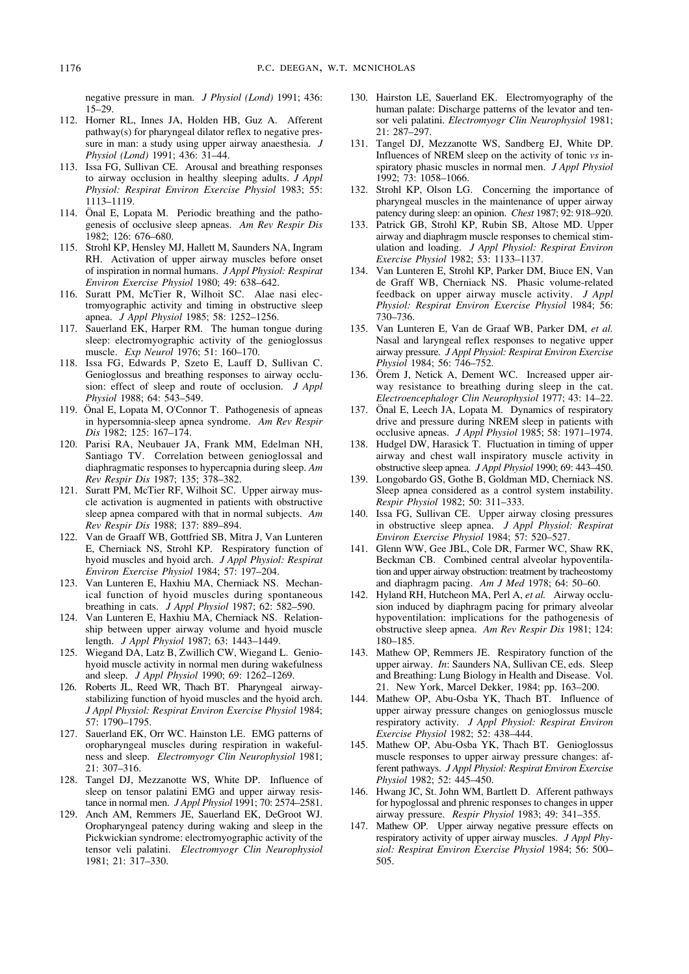negative pressure in man. *J Physiol (Lond)* 1991; 436: 15–29.

- 112. Horner RL, Innes JA, Holden HB, Guz A. Afferent pathway(s) for pharyngeal dilator reflex to negative pressure in man: a study using upper airway anaesthesia. *J Physiol (Lond)* 1991; 436: 31–44.
- 113. Issa FG, Sullivan CE. Arousal and breathing responses to airway occlusion in healthy sleeping adults. *J Appl Physiol: Respirat Environ Exercise Physiol* 1983; 55: 1113–1119.
- 114. Önal E, Lopata M. Periodic breathing and the pathogenesis of occlusive sleep apneas. *Am Rev Respir Dis* 1982; 126: 676–680.
- 115. Strohl KP, Hensley MJ, Hallett M, Saunders NA, Ingram RH. Activation of upper airway muscles before onset of inspiration in normal humans. *J Appl Physiol: Respirat Environ Exercise Physiol* 1980; 49: 638–642.
- 116. Suratt PM, McTier R, Wilhoit SC. Alae nasi electromyographic activity and timing in obstructive sleep apnea. *J Appl Physiol* 1985; 58: 1252–1256.
- 117. Sauerland EK, Harper RM. The human tongue during sleep: electromyographic activity of the genioglossus muscle. *Exp Neurol* 1976; 51: 160–170.
- 118. Issa FG, Edwards P, Szeto E, Lauff D, Sullivan C. Genioglossus and breathing responses to airway occlusion: effect of sleep and route of occlusion. *J Appl Physiol* 1988; 64: 543–549.
- 119. Önal E, Lopata M, O'Connor T. Pathogenesis of apneas in hypersomnia-sleep apnea syndrome. *Am Rev Respir Dis* 1982; 125: 167–174.
- 120. Parisi RA, Neubauer JA, Frank MM, Edelman NH, Santiago TV. Correlation between genioglossal and diaphragmatic responses to hypercapnia during sleep. *Am Rev Respir Dis* 1987; 135; 378–382.
- 121. Suratt PM, McTier RF, Wilhoit SC. Upper airway muscle activation is augmented in patients with obstructive sleep apnea compared with that in normal subjects. *Am Rev Respir Dis* 1988; 137: 889–894.
- 122. Van de Graaff WB, Gottfried SB, Mitra J, Van Lunteren E, Cherniack NS, Strohl KP. Respiratory function of hyoid muscles and hyoid arch. *J Appl Physiol: Respirat Environ Exercise Physiol* 1984; 57: 197–204.
- 123. Van Lunteren E, Haxhiu MA, Cherniack NS. Mechanical function of hyoid muscles during spontaneous breathing in cats. *J Appl Physiol* 1987; 62: 582–590.
- 124. Van Lunteren E, Haxhiu MA, Cherniack NS. Relationship between upper airway volume and hyoid muscle length. *J Appl Physiol* 1987; 63: 1443–1449.
- 125. Wiegand DA, Latz B, Zwillich CW, Wiegand L. Geniohyoid muscle activity in normal men during wakefulness and sleep. *J Appl Physiol* 1990; 69: 1262–1269.
- 126. Roberts JL, Reed WR, Thach BT. Pharyngeal airwaystabilizing function of hyoid muscles and the hyoid arch. *J Appl Physiol: Respirat Environ Exercise Physiol* 1984; 57: 1790–1795.
- 127. Sauerland EK, Orr WC. Hainston LE. EMG patterns of oropharyngeal muscles during respiration in wakefulness and sleep. *Electromyogr Clin Neurophysiol* 1981; 21: 307–316.
- 128. Tangel DJ, Mezzanotte WS, White DP. Influence of sleep on tensor palatini EMG and upper airway resistance in normal men. *J Appl Physiol* 1991; 70: 2574–2581.
- 129. Anch AM, Remmers JE, Sauerland EK, DeGroot WJ. Oropharyngeal patency during waking and sleep in the Pickwickian syndrome: electromyographic activity of the tensor veli palatini. *Electromyogr Clin Neurophysiol* 1981; 21: 317–330.
- 130. Hairston LE, Sauerland EK. Electromyography of the human palate: Discharge patterns of the levator and tensor veli palatini. *Electromyogr Clin Neurophysiol* 1981; 21: 287–297.
- 131. Tangel DJ, Mezzanotte WS, Sandberg EJ, White DP. Influences of NREM sleep on the activity of tonic *vs* inspiratory phasic muscles in normal men. *J Appl Physiol* 1992; 73: 1058–1066.
- 132. Strohl KP, Olson LG. Concerning the importance of pharyngeal muscles in the maintenance of upper airway patency during sleep: an opinion. *Chest* 1987; 92: 918–920.
- 133. Patrick GB, Strohl KP, Rubin SB, Altose MD. Upper airway and diaphragm muscle responses to chemical stimulation and loading. *J Appl Physiol: Respirat Environ Exercise Physiol* 1982; 53: 1133–1137.
- 134. Van Lunteren E, Strohl KP, Parker DM, Biuce EN, Van de Graff WB, Cherniack NS. Phasic volume-related feedback on upper airway muscle activity. *J Appl Physiol: Respirat Environ Exercise Physiol* 1984; 56: 730–736.
- 135. Van Lunteren E, Van de Graaf WB, Parker DM, *et al.* Nasal and laryngeal reflex responses to negative upper airway pressure. *J Appl Physiol: Respirat Environ Exercise Physiol* 1984; 56: 746–752.
- 136. Örem J, Netick A, Dement WC. Increased upper airway resistance to breathing during sleep in the cat. *Electroencephalogr Clin Neurophysiol* 1977; 43: 14–22.
- 137. Önal E, Leech JA, Lopata M. Dynamics of respiratory drive and pressure during NREM sleep in patients with occlusive apneas. *J Appl Physiol* 1985; 58: 1971–1974.
- 138. Hudgel DW, Harasick T. Fluctuation in timing of upper airway and chest wall inspiratory muscle activity in obstructive sleep apnea. *J Appl Physiol* 1990; 69: 443–450.
- 139. Longobardo GS, Gothe B, Goldman MD, Cherniack NS. Sleep apnea considered as a control system instability. *Respir Physiol* 1982; 50: 311–333.
- 140. Issa FG, Sullivan CE. Upper airway closing pressures in obstructive sleep apnea. *J Appl Physiol: Respirat Environ Exercise Physiol* 1984; 57: 520–527.
- 141. Glenn WW, Gee JBL, Cole DR, Farmer WC, Shaw RK, Beckman CB. Combined central alveolar hypoventilation and upper airway obstruction: treatment by tracheostomy and diaphragm pacing. *Am J Med* 1978; 64: 50–60.
- 142. Hyland RH, Hutcheon MA, Perl A, *et al.* Airway occlusion induced by diaphragm pacing for primary alveolar hypoventilation: implications for the pathogenesis of obstructive sleep apnea. *Am Rev Respir Dis* 1981; 124: 180–185.
- 143. Mathew OP, Remmers JE. Respiratory function of the upper airway. *In*: Saunders NA, Sullivan CE, eds. Sleep and Breathing: Lung Biology in Health and Disease. Vol. 21. New York, Marcel Dekker, 1984; pp. 163–200.
- 144. Mathew OP, Abu-Osba YK, Thach BT. Influence of upper airway pressure changes on genioglossus muscle respiratory activity. *J Appl Physiol: Respirat Environ Exercise Physiol* 1982; 52: 438–444.
- 145. Mathew OP, Abu-Osba YK, Thach BT. Genioglossus muscle responses to upper airway pressure changes: afferent pathways. *J Appl Physiol: Respirat Environ Exercise Physiol* 1982; 52: 445–450.
- 146. Hwang JC, St. John WM, Bartlett D. Afferent pathways for hypoglossal and phrenic responses to changes in upper airway pressure. *Respir Physiol* 1983; 49: 341–355.
- 147. Mathew OP. Upper airway negative pressure effects on respiratory activity of upper airway muscles. *J Appl Physiol: Respirat Environ Exercise Physiol* 1984; 56: 500– 505.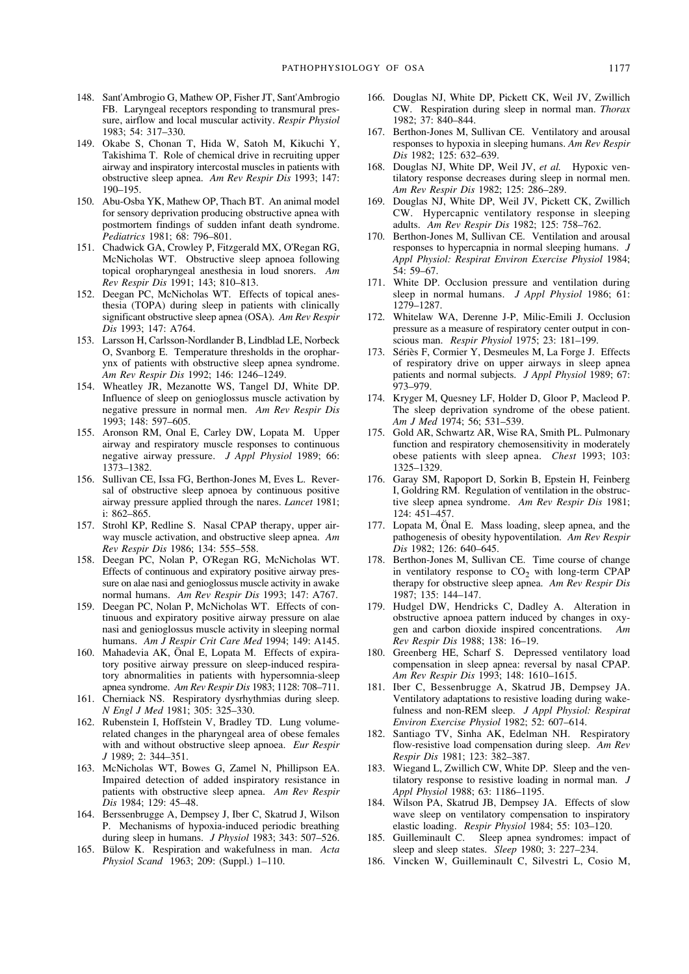- 148. Sant'Ambrogio G, Mathew OP, Fisher JT, Sant'Ambrogio FB. Laryngeal receptors responding to transmural pressure, airflow and local muscular activity. *Respir Physiol* 1983; 54: 317–330.
- 149. Okabe S, Chonan T, Hida W, Satoh M, Kikuchi Y, Takishima T. Role of chemical drive in recruiting upper airway and inspiratory intercostal muscles in patients with obstructive sleep apnea. *Am Rev Respir Dis* 1993; 147: 190–195.
- 150. Abu-Osba YK, Mathew OP, Thach BT. An animal model for sensory deprivation producing obstructive apnea with postmortem findings of sudden infant death syndrome. *Pediatrics* 1981; 68: 796–801.
- 151. Chadwick GA, Crowley P, Fitzgerald MX, O'Regan RG, McNicholas WT. Obstructive sleep apnoea following topical oropharyngeal anesthesia in loud snorers. *Am Rev Respir Dis* 1991; 143; 810–813.
- 152. Deegan PC, McNicholas WT. Effects of topical anesthesia (TOPA) during sleep in patients with clinically significant obstructive sleep apnea (OSA). *Am Rev Respir Dis* 1993; 147: A764.
- 153. Larsson H, Carlsson-Nordlander B, Lindblad LE, Norbeck O, Svanborg E. Temperature thresholds in the oropharynx of patients with obstructive sleep apnea syndrome. *Am Rev Respir Dis* 1992; 146: 1246–1249.
- 154. Wheatley JR, Mezanotte WS, Tangel DJ, White DP. Influence of sleep on genioglossus muscle activation by negative pressure in normal men. *Am Rev Respir Dis* 1993; 148: 597–605.
- 155. Aronson RM, Onal E, Carley DW, Lopata M. Upper airway and respiratory muscle responses to continuous negative airway pressure. *J Appl Physiol* 1989; 66: 1373–1382.
- 156. Sullivan CE, Issa FG, Berthon-Jones M, Eves L. Reversal of obstructive sleep apnoea by continuous positive airway pressure applied through the nares. *Lancet* 1981; i: 862–865.
- 157. Strohl KP, Redline S. Nasal CPAP therapy, upper airway muscle activation, and obstructive sleep apnea. *Am Rev Respir Dis* 1986; 134: 555–558.
- 158. Deegan PC, Nolan P, O'Regan RG, McNicholas WT. Effects of continuous and expiratory positive airway pressure on alae nasi and genioglossus muscle activity in awake normal humans. *Am Rev Respir Dis* 1993; 147: A767.
- 159. Deegan PC, Nolan P, McNicholas WT. Effects of continuous and expiratory positive airway pressure on alae nasi and genioglossus muscle activity in sleeping normal humans. *Am J Respir Crit Care Med* 1994; 149: A145.
- 160. Mahadevia AK, Önal E, Lopata M. Effects of expiratory positive airway pressure on sleep-induced respiratory abnormalities in patients with hypersomnia-sleep apnea syndrome. *Am Rev Respir Dis* 1983; 1128: 708–711.
- 161. Cherniack NS. Respiratory dysrhythmias during sleep. *N Engl J Med* 1981; 305: 325–330.
- 162. Rubenstein I, Hoffstein V, Bradley TD. Lung volumerelated changes in the pharyngeal area of obese females with and without obstructive sleep apnoea. *Eur Respir J* 1989; 2: 344–351.
- 163. McNicholas WT, Bowes G, Zamel N, Phillipson EA. Impaired detection of added inspiratory resistance in patients with obstructive sleep apnea. *Am Rev Respir Dis* 1984; 129: 45–48.
- 164. Berssenbrugge A, Dempsey J, Iber C, Skatrud J, Wilson P. Mechanisms of hypoxia-induced periodic breathing during sleep in humans. *J Physiol* 1983; 343: 507–526.
- 165. Bülow K. Respiration and wakefulness in man. *Acta Physiol Scand* 1963; 209: (Suppl.) 1–110.
- 166. Douglas NJ, White DP, Pickett CK, Weil JV, Zwillich CW. Respiration during sleep in normal man. *Thorax* 1982; 37: 840–844.
- 167. Berthon-Jones M, Sullivan CE. Ventilatory and arousal responses to hypoxia in sleeping humans. *Am Rev Respir Dis* 1982; 125: 632–639.
- 168. Douglas NJ, White DP, Weil JV, *et al.* Hypoxic ventilatory response decreases during sleep in normal men. *Am Rev Respir Dis* 1982; 125: 286–289.
- 169. Douglas NJ, White DP, Weil JV, Pickett CK, Zwillich CW. Hypercapnic ventilatory response in sleeping adults. *Am Rev Respir Dis* 1982; 125: 758–762.
- 170. Berthon-Jones M, Sullivan CE. Ventilation and arousal responses to hypercapnia in normal sleeping humans. *J Appl Physiol: Respirat Environ Exercise Physiol* 1984; 54: 59–67.
- 171. White DP. Occlusion pressure and ventilation during sleep in normal humans. *J Appl Physiol* 1986; 61: 1279–1287.
- 172. Whitelaw WA, Derenne J-P, Milic-Emili J. Occlusion pressure as a measure of respiratory center output in conscious man. *Respir Physiol* 1975; 23: 181–199.
- 173. Sériès F, Cormier Y, Desmeules M, La Forge J. Effects of respiratory drive on upper airways in sleep apnea patients and normal subjects. *J Appl Physiol* 1989; 67: 973–979.
- 174. Kryger M, Quesney LF, Holder D, Gloor P, Macleod P. The sleep deprivation syndrome of the obese patient. *Am J Med* 1974; 56; 531–539.
- 175. Gold AR, Schwartz AR, Wise RA, Smith PL. Pulmonary function and respiratory chemosensitivity in moderately obese patients with sleep apnea. *Chest* 1993; 103: 1325–1329.
- 176. Garay SM, Rapoport D, Sorkin B, Epstein H, Feinberg I, Goldring RM. Regulation of ventilation in the obstructive sleep apnea syndrome. *Am Rev Respir Dis* 1981; 124: 451–457.
- 177. Lopata M, Önal E. Mass loading, sleep apnea, and the pathogenesis of obesity hypoventilation. *Am Rev Respir Dis* 1982; 126: 640–645.
- 178. Berthon-Jones M, Sullivan CE. Time course of change in ventilatory response to  $CO<sub>2</sub>$  with long-term CPAP therapy for obstructive sleep apnea. *Am Rev Respir Dis* 1987; 135: 144–147.
- 179. Hudgel DW, Hendricks C, Dadley A. Alteration in obstructive apnoea pattern induced by changes in oxygen and carbon dioxide inspired concentrations. *Am Rev Respir Dis* 1988; 138: 16–19.
- 180. Greenberg HE, Scharf S. Depressed ventilatory load compensation in sleep apnea: reversal by nasal CPAP. *Am Rev Respir Dis* 1993; 148: 1610–1615.
- 181. Iber C, Bessenbrugge A, Skatrud JB, Dempsey JA. Ventilatory adaptations to resistive loading during wakefulness and non-REM sleep. *J Appl Physiol: Respirat Environ Exercise Physiol* 1982; 52: 607–614.
- 182. Santiago TV, Sinha AK, Edelman NH. Respiratory flow-resistive load compensation during sleep. *Am Rev Respir Dis* 1981; 123: 382–387.
- 183. Wiegand L, Zwillich CW, White DP. Sleep and the ventilatory response to resistive loading in normal man. *J Appl Physiol* 1988; 63: 1186–1195.
- 184. Wilson PA, Skatrud JB, Dempsey JA. Effects of slow wave sleep on ventilatory compensation to inspiratory elastic loading. *Respir Physiol* 1984; 55: 103–120.
- 185. Guilleminault C. Sleep apnea syndromes: impact of sleep and sleep states. *Sleep* 1980; 3: 227–234.
- 186. Vincken W, Guilleminault C, Silvestri L, Cosio M,